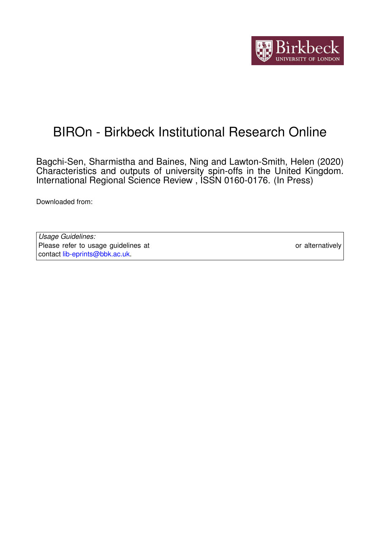

# BIROn - Birkbeck Institutional Research Online

Bagchi-Sen, Sharmistha and Baines, Ning and Lawton-Smith, Helen (2020) Characteristics and outputs of university spin-offs in the United Kingdom. International Regional Science Review , ISSN 0160-0176. (In Press)

Downloaded from: <https://eprints.bbk.ac.uk/id/eprint/31677/>

*Usage Guidelines:* Please refer to usage guidelines at <https://eprints.bbk.ac.uk/policies.html> or alternatively contact [lib-eprints@bbk.ac.uk.](mailto:lib-eprints@bbk.ac.uk)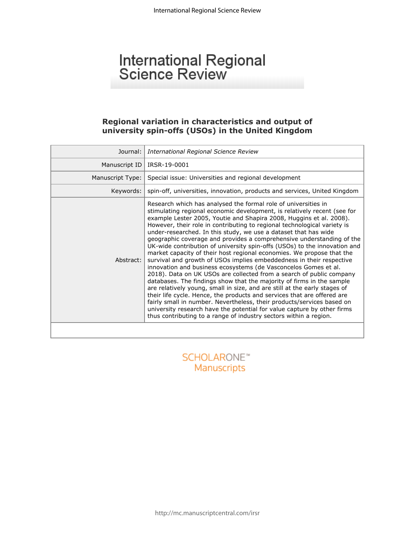# International Regional<br>Science Review

#### **Regional variation in characteristics and output of university spin-offs (USOs) in the United Kingdom**

| Journal:         | International Regional Science Review                                                                                                                                                                                                                                                                                                                                                                                                                                                                                                                                                                                                                                                                                                                                                                                                                                                                                                                                                                                                                                                                                                                                                                                                                                         |
|------------------|-------------------------------------------------------------------------------------------------------------------------------------------------------------------------------------------------------------------------------------------------------------------------------------------------------------------------------------------------------------------------------------------------------------------------------------------------------------------------------------------------------------------------------------------------------------------------------------------------------------------------------------------------------------------------------------------------------------------------------------------------------------------------------------------------------------------------------------------------------------------------------------------------------------------------------------------------------------------------------------------------------------------------------------------------------------------------------------------------------------------------------------------------------------------------------------------------------------------------------------------------------------------------------|
| Manuscript ID    | IRSR-19-0001                                                                                                                                                                                                                                                                                                                                                                                                                                                                                                                                                                                                                                                                                                                                                                                                                                                                                                                                                                                                                                                                                                                                                                                                                                                                  |
| Manuscript Type: | Special issue: Universities and regional development                                                                                                                                                                                                                                                                                                                                                                                                                                                                                                                                                                                                                                                                                                                                                                                                                                                                                                                                                                                                                                                                                                                                                                                                                          |
| Keywords:        | spin-off, universities, innovation, products and services, United Kingdom                                                                                                                                                                                                                                                                                                                                                                                                                                                                                                                                                                                                                                                                                                                                                                                                                                                                                                                                                                                                                                                                                                                                                                                                     |
| Abstract:        | Research which has analysed the formal role of universities in<br>stimulating regional economic development, is relatively recent (see for<br>example Lester 2005, Youtie and Shapira 2008, Huggins et al. 2008).<br>However, their role in contributing to regional technological variety is<br>under-researched. In this study, we use a dataset that has wide<br>geographic coverage and provides a comprehensive understanding of the<br>UK-wide contribution of university spin-offs (USOs) to the innovation and<br>market capacity of their host regional economies. We propose that the<br>survival and growth of USOs implies embeddedness in their respective<br>innovation and business ecosystems (de Vasconcelos Gomes et al.<br>2018). Data on UK USOs are collected from a search of public company<br>databases. The findings show that the majority of firms in the sample<br>are relatively young, small in size, and are still at the early stages of<br>their life cycle. Hence, the products and services that are offered are<br>fairly small in number. Nevertheless, their products/services based on<br>university research have the potential for value capture by other firms<br>thus contributing to a range of industry sectors within a region. |
|                  |                                                                                                                                                                                                                                                                                                                                                                                                                                                                                                                                                                                                                                                                                                                                                                                                                                                                                                                                                                                                                                                                                                                                                                                                                                                                               |
|                  |                                                                                                                                                                                                                                                                                                                                                                                                                                                                                                                                                                                                                                                                                                                                                                                                                                                                                                                                                                                                                                                                                                                                                                                                                                                                               |

Manuscripts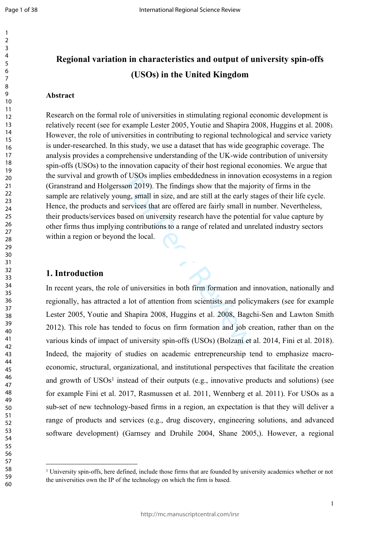$\mathbf{1}$  $\overline{2}$  $\overline{3}$  $\overline{4}$  $\overline{7}$ 

# **Regional variation in characteristics and output of university spin-offs (USOs) in the United Kingdom**

#### **Abstract**

If USOS Implies embeddedness in inflovation 2019). The findings show that the major many services that are offered are fairly small in sised on university research have the potent contributions to a range of related and un Research on the formal role of universities in stimulating regional economic development is relatively recent (see for example Lester 2005, Youtie and Shapira 2008, Huggins et al. 2008). However, the role of universities in contributing to regional technological and service variety is under-researched. In this study, we use a dataset that has wide geographic coverage. The analysis provides a comprehensive understanding of the UK-wide contribution of university spin-offs (USOs) to the innovation capacity of their host regional economies. We argue that the survival and growth of USOs implies embeddedness in innovation ecosystems in a region ([Granstrand](https://www.sciencedirect.com/science/article/pii/S0166497218303870#!) and [Holgersson](https://www.sciencedirect.com/science/article/pii/S0166497218303870#!) 2019). The findings show that the majority of firms in the sample are relatively young, small in size, and are still at the early stages of their life cycle. Hence, the products and services that are offered are fairly small in number. Nevertheless, their products/services based on university research have the potential for value capture by other firms thus implying contributions to a range of related and unrelated industry sectors within a region or beyond the local.

#### **1. Introduction**

In recent years, the role of universities in both firm formation and innovation, nationally and regionally, has attracted a lot of attention from scientists and policymakers (see for example Lester 2005, Youtie and Shapira 2008, Huggins et al. 2008, Bagchi-Sen and Lawton Smith 2012). This role has tended to focus on firm formation and job creation, rather than on the various kinds of impact of university spin-offs (USOs) (Bolzani et al. 2014, Fini et al. 2018). Indeed, the majority of studies on academic entrepreneurship tend to emphasize macroeconomic, structural, organizational, and institutional perspectives that facilitate the creation and growth of USOs<sup>1</sup> instead of their outputs (e.g., innovative products and solutions) (see for example Fini et al. 2017, Rasmussen et al. 2011, Wennberg et al. 2011). For USOs as a sub-set of new technology-based firms in a region, an expectation is that they will deliver a range of products and services (e.g., drug discovery, engineering solutions, and advanced software development) (Garnsey and Druhile 2004, Shane 2005,). However, a regional

 University spin-offs, here defined, include those firms that are founded by university academics whether or not the universities own the IP of the technology on which the firm is based.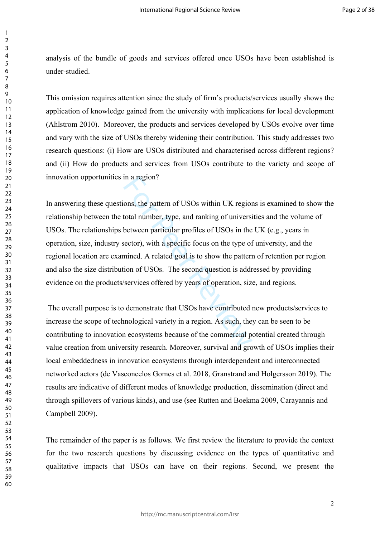analysis of the bundle of goods and services offered once USOs have been established is under-studied.

This omission requires attention since the study of firm's products/services usually shows the application of knowledge gained from the university with implications for local development (Ahlstrom 2010). Moreover, the products and services developed by USOs evolve over time and vary with the size of USOs thereby widening their contribution. This study addresses two research questions: (i) How are USOs distributed and characterised across different regions? and (ii) How do products and services from USOs contribute to the variety and scope of innovation opportunities in a region?

In a region?<br>
ons, the pattern of USOs within UK region<br>
total number, type, and ranking of universi<br>
between particular profiles of USOs in the<br>
sector), with a specific focus on the type of<br>
mined. A related goal is to s In answering these questions, the pattern of USOs within UK regions is examined to show the relationship between the total number, type, and ranking of universities and the volume of USOs. The relationships between particular profiles of USOs in the UK (e.g., years in operation, size, industry sector), with a specific focus on the type of university, and the regional location are examined. A related goal is to show the pattern of retention per region and also the size distribution of USOs. The second question is addressed by providing evidence on the products/services offered by years of operation, size, and regions.

 The overall purpose is to demonstrate that USOs have contributed new products/services to increase the scope of technological variety in a region. As such, they can be seen to be contributing to innovation ecosystems because of the commercial potential created through value creation from university research. Moreover, survival and growth of USOs implies their local embeddedness in innovation ecosystems through interdependent and interconnected networked actors (de Vasconcelos Gomes et al. 2018, [Granstrand](https://www.sciencedirect.com/science/article/pii/S0166497218303870#!) and [Holgersson](https://www.sciencedirect.com/science/article/pii/S0166497218303870#!) 2019). The results are indicative of different modes of knowledge production, dissemination (direct and through spillovers of various kinds), and use (see Rutten and Boekma 2009, Carayannis and Campbell 2009).

The remainder of the paper is as follows. We first review the literature to provide the context for the two research questions by discussing evidence on the types of quantitative and qualitative impacts that USOs can have on their regions. Second, we present the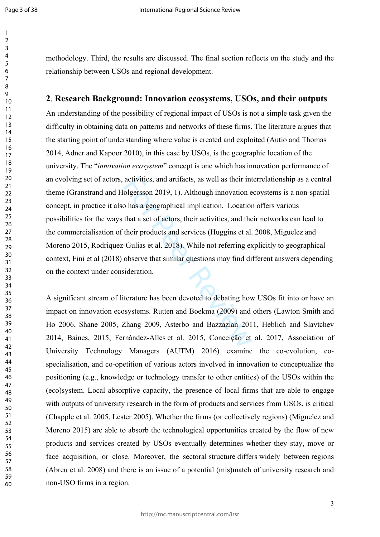$\mathbf{1}$ 

59 60 methodology. Third, the results are discussed. The final section reflects on the study and the relationship between USOs and regional development.

#### **2**. **Research Background: Innovation ecosystems, USOs, and their outputs**

activities, and artifacts, as well as their int<br>olgersson 2019, 1). Although innovation e<br>o has a geographical implication. Location<br>that a set of actors, their activities, and the<br>their products and services (Huggins et a An understanding of the possibility of regional impact of USOs is not a simple task given the difficulty in obtaining data on patterns and networks of these firms. The literature argues that the starting point of understanding where value is created and exploited (Autio and Thomas 2014, Adner and Kapoor 2010), in this case by USOs, is the geographic location of the university. The "*innovation ecosystem*" concept is one which has innovation performance of an evolving set of actors, activities, and artifacts, as well as their interrelationship as a central theme [\(Granstrand](https://www.sciencedirect.com/science/article/pii/S0166497218303870#!) and [Holgersson](https://www.sciencedirect.com/science/article/pii/S0166497218303870#!) 2019, 1). Although innovation ecoystems is a non-spatial concept, in practice it also has a geographical implication. Location offers various possibilities for the ways that a set of actors, their activities, and their networks can lead to the commercialisation of their products and services (Huggins et al. 2008, Miguelez and Moreno 2015, Rodriquez-Gulias et al. 2018). While not referring explicitly to geographical context, Fini et al (2018) observe that similar questions may find different answers depending on the context under consideration.

A significant stream of literature has been devoted to debating how USOs fit into or have an impact on innovation ecosystems. Rutten and Boekma (2009) and others (Lawton Smith and Ho 2006, Shane 2005, Zhang 2009, Asterbo and Bazzazian 2011, Heblich and Slavtchev 2014, Baines, 2015, Fernández-Alles et al. 2015, Conceição et al. 2017, Association of University Technology Managers (AUTM) 2016) examine the co-evolution, cospecialisation, and co-opetition of various actors involved in innovation to conceptualize the positioning (e.g., knowledge or technology transfer to other entities) of the USOs within the (eco)system. Local absorptive capacity, the presence of local firms that are able to engage with outputs of university research in the form of products and services from USOs, is critical (Chapple et al. 2005, Lester 2005). Whether the firms (or collectively regions) (Miguelez and Moreno 2015) are able to absorb the technological opportunities created by the flow of new products and services created by USOs eventually determines whether they stay, move or face acquisition, or close. Moreover, the sectoral structure differs widely between regions (Abreu et al. 2008) and there is an issue of a potential (mis)match of university research and non-USO firms in a region.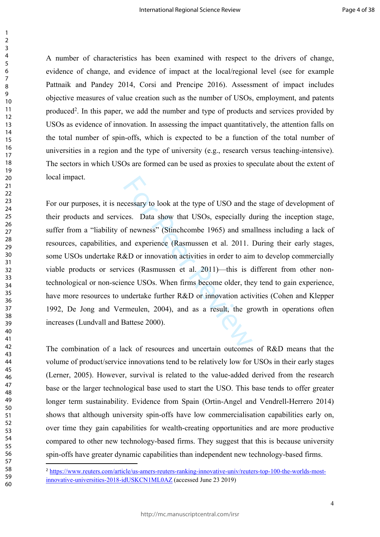A number of characteristics has been examined with respect to the drivers of change, evidence of change, and evidence of impact at the local/regional level (see for example Pattnaik and Pandey 2014, Corsi and Prencipe 2016). Assessment of impact includes objective measures of value creation such as the number of USOs, employment, and patents produced<sup>2</sup>. In this paper, we add the number and type of products and services provided by USOs as evidence of innovation. In assessing the impact quantitatively, the attention falls on the total number of spin-offs, which is expected to be a function of the total number of universities in a region and the type of university (e.g., research versus teaching-intensive). The sectors in which USOs are formed can be used as proxies to speculate about the extent of local impact.

cessary to look at the type of USO and th<br>ces. Data show that USOs, especially d<br>of newness" (Stinchcombe 1965) and sma<br>md experience (Rasmussen et al. 2011)—<br>&D or innovation activities in order to ain<br>ices (Rasmussen et For our purposes, it is necessary to look at the type of USO and the stage of development of their products and services. Data show that USOs, especially during the inception stage, suffer from a "liability of newness" (Stinchcombe 1965) and smallness including a lack of resources, capabilities, and experience (Rasmussen et al. 2011. During their early stages, some USOs undertake R&D or innovation activities in order to aim to develop commercially viable products or services (Rasmussen et al. 2011)—this is different from other nontechnological or non-science USOs. When firms become older, they tend to gain experience, have more resources to undertake further R&D or innovation activities (Cohen and Klepper 1992, De Jong and Vermeulen, 2004), and as a result, the growth in operations often increases (Lundvall and Battese 2000).

The combination of a lack of resources and uncertain outcomes of R&D means that the volume of product/service innovations tend to be relatively low for USOs in their early stages (Lerner, 2005). However, survival is related to the value-added derived from the research base or the larger technological base used to start the USO. This base tends to offer greater longer term sustainability. Evidence from Spain (Ortin-Angel and Vendrell-Herrero 2014) shows that although university spin-offs have low commercialisation capabilities early on, over time they gain capabilities for wealth-creating opportunities and are more productive compared to other new technology-based firms. They suggest that this is because university spin-offs have greater dynamic capabilities than independent new technology-based firms.

 [https://www.reuters.com/article/us-amers-reuters-ranking-innovative-univ/reuters-top-100-the-worlds-most](https://www.reuters.com/article/us-amers-reuters-ranking-innovative-univ/reuters-top-100-the-worlds-most-innovative-universities-2018-idUSKCN1ML0AZ)[innovative-universities-2018-idUSKCN1ML0AZ](https://www.reuters.com/article/us-amers-reuters-ranking-innovative-univ/reuters-top-100-the-worlds-most-innovative-universities-2018-idUSKCN1ML0AZ) (accessed June 23 2019)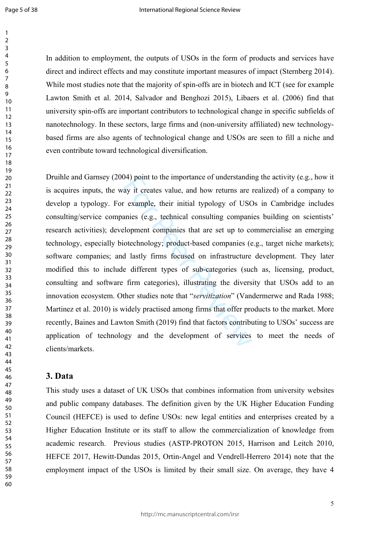Page 5 of 38

 $\mathbf{1}$ 

60

In addition to employment, the outputs of USOs in the form of products and services have direct and indirect effects and may constitute important measures of impact (Sternberg 2014). While most studies note that the majority of spin-offs are in biotech and ICT (see for example Lawton Smith et al. 2014, Salvador and Benghozi 2015 ), Libaers et al. (2006) find that university spin-offs are important contributors to technological change in specific subfields of nanotechnology. In these sectors, large firms and (non-university affiliated) new technologybased firms are also agents of technological change and USOs are seen to fill a niche and even contribute toward technological diversification.

(4) point to the importance of understandinely ay it creates value, and how returns are interest in the example, their initial typology of USC annies (e.g., technical consulting companial elopment companies that are set up Druihle and Garnsey (2004) point to the importance of understanding the activity (e.g., how it is acquires inputs, the way it creates value, and how returns are realized) of a company to develop a typology. For example, their initial typology of USOs in Cambridge includes consulting/service companies (e.g., technical consulting companies building on scientists' research activities); development companies that are set up to commercialise an emerging technology, especially biotechnology; product-based companies (e.g., target niche markets); software companies; and lastly firms focused on infrastructure development. They later modified this to include different types of sub-categories (such as, licensing, product, consulting and software firm categories), illustrating the diversity that USOs add to an innovation ecosystem. Other studies note that "*servitization*" (Vandermerwe and Rada 1988; Martinez et al. 2010) is widely practised among firms that offer products to the market. More recently, Baines and Lawton Smith (2019) find that factors contributing to USOs' success are application of technology and the development of services to meet the needs of clients/markets.

#### **3. Data**

This study uses a dataset of UK USOs that combines information from university websites and public company databases. The definition given by the UK Higher Education Funding Council (HEFCE) is used to define USOs: new legal entities and enterprises created by a Higher Education Institute or its staff to allow the commercialization of knowledge from academic research. Previous studies (ASTP-PROTON 2015, Harrison and Leitch 2010, HEFCE 2017, Hewitt-Dundas 2015, Ortin-Angel and Vendrell-Herrero 2014) note that the employment impact of the USOs is limited by their small size. On average, they have 4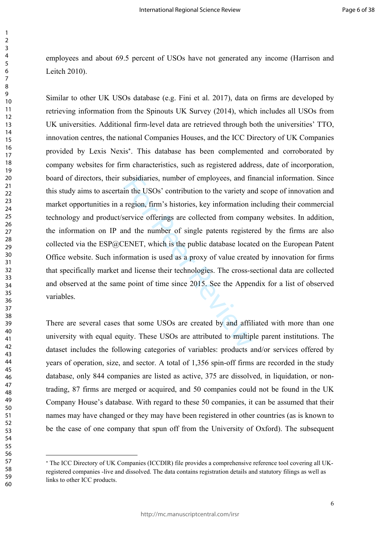employees and about 69.5 percent of USOs have not generated any income (Harrison and Leitch 2010).

subsidiaries, number of employees, and fi<br>in the USOs' contribution to the variety ar<br>region, firm's histories, key information i<br>service offerings are collected from comp<br>nd the number of single patents register<br>ENET, whi Similar to other UK USOs database (e.g. Fini et al. 2017), data on firms are developed by retrieving information from the Spinouts UK Survey (2014), which includes all USOs from UK universities. Additional firm-level data are retrieved through both the universities' TTO, innovation centres, the national Companies Houses, and the ICC Directory of UK Companies provided by Lexis Nexis . This database has been complemented and corroborated by company websites for firm characteristics, such as registered address, date of incorporation, board of directors, their subsidiaries, number of employees, and financial information. Since this study aims to ascertain the USOs' contribution to the variety and scope of innovation and market opportunities in a region, firm's histories, key information including their commercial technology and product/service offerings are collected from company websites. In addition, the information on IP and the number of single patents registered by the firms are also collected via the ESP@CENET, which is the public database located on the European Patent Office website. Such information is used as a proxy of value created by innovation for firms that specifically market and license their technologies. The cross-sectional data are collected and observed at the same point of time since 2015. See the Appendix for a list of observed variables.

There are several cases that some USOs are created by and affiliated with more than one university with equal equity. These USOs are attributed to multiple parent institutions. The dataset includes the following categories of variables: products and/or services offered by years of operation, size, and sector. A total of 1,356 spin-off firms are recorded in the study database, only 844 companies are listed as active, 375 are dissolved, in liquidation, or nontrading, 87 firms are merged or acquired, and 50 companies could not be found in the UK Company House's database. With regard to these 50 companies, it can be assumed that their names may have changed or they may have been registered in other countries (as is known to be the case of one company that spun off from the University of Oxford). The subsequent

 The ICC Directory of UK Companies (ICCDIR) file provides a comprehensive reference tool covering all UKregistered companies -live and dissolved. The data contains registration details and statutory filings as well as links to other ICC products.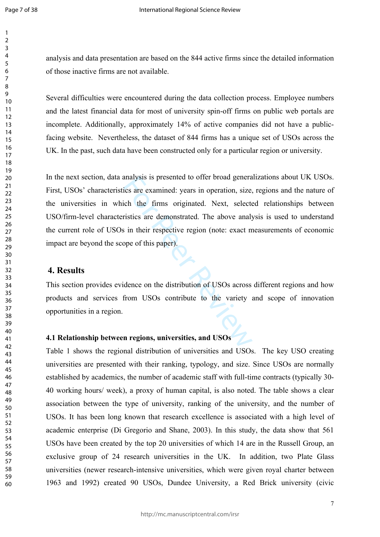$\mathbf{1}$  $\overline{2}$  $\overline{3}$  $\overline{4}$ 5 6  $\overline{7}$ 8  $\mathsf{o}$ 

analysis and data presentation are based on the 844 active firms since the detailed information of those inactive firms are not available.

Several difficulties were encountered during the data collection process. Employee numbers and the latest financial data for most of university spin-off firms on public web portals are incomplete. Additionally, approximately 14% of active companies did not have a publicfacing website. Nevertheless, the dataset of 844 firms has a unique set of USOs across the UK. In the past, such data have been constructed only for a particular region or university.

analysis is presented to offer broad generation size.<br>
ich the firms originated. Next, select<br>
ristics are demonstrated. The above analys<br>
in their respective region (note: exact m<br>
ope of this paper).<br>
idence on the distr In the next section, data analysis is presented to offer broad generalizations about UK USOs. First, USOs' characteristics are examined: years in operation, size, regions and the nature of the universities in which the firms originated. Next, selected relationships between USO/firm-level characteristics are demonstrated. The above analysis is used to understand the current role of USOs in their respective region (note: exact measurements of economic impact are beyond the scope of this paper).

#### **4. Results**

This section provides evidence on the distribution of USOs across different regions and how products and services from USOs contribute to the variety and scope of innovation opportunities in a region.

#### **4.1 Relationship between regions, universities, and USOs**

Table 1 shows the regional distribution of universities and USOs. The key USO creating universities are presented with their ranking, typology, and size. Since USOs are normally established by academics, the number of academic staff with full-time contracts (typically 30- 40 working hours/ week), a proxy of human capital, is also noted. The table shows a clear association between the type of university, ranking of the university, and the number of USOs. It has been long known that research excellence is associated with a high level of academic enterprise (Di Gregorio and Shane, 2003). In this study, the data show that 561 USOs have been created by the top 20 universities of which 14 are in the Russell Group, an exclusive group of 24 research universities in the UK. In addition, two Plate Glass universities (newer research-intensive universities, which were given royal charter between 1963 and 1992) created 90 USOs, Dundee University, a Red Brick university (civic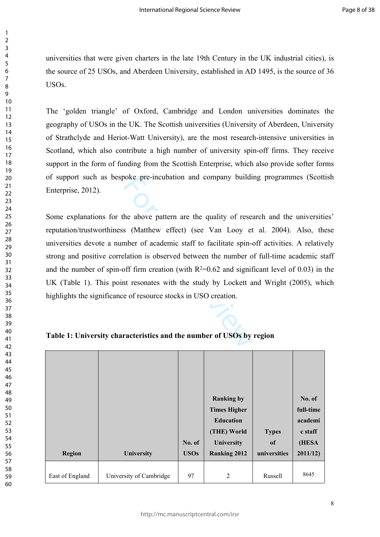universities that were given charters in the late 19th Century in the UK industrial cities), is the source of 25 USOs, and Aberdeen University, established in AD 1495, is the source of 36 USOs.

The 'golden triangle' of Oxford, Cambridge and London universities dominates the geography of USOs in the UK. The Scottish universities (University of Aberdeen, University of Strathclyde and Heriot-Watt University), are the most research-intensive universities in Scotland, which also contribute a high number of university spin-off firms. They receive support in the form of funding from the Scottish Enterprise, which also provide softer forms of support such as bespoke pre-incubation and company building programmes (Scottish Enterprise, 2012).

boke pre-incubation and company build<br>the above pattern are the quality of rese<br>s (Matthew effect) (see Van Looy et<br>mber of academic staff to facilitate spin-<br>elation is observed between the number of<br>off firm creation (w Some explanations for the above pattern are the quality of research and the universities' reputation/trustworthiness (Matthew effect) (see Van Looy et al. 2004). Also, these universities devote a number of academic staff to facilitate spin-off activities. A relatively strong and positive correlation is observed between the number of full-time academic staff and the number of spin-off firm creation (with  $R^2=0.62$  and significant level of 0.03) in the UK (Table 1). This point resonates with the study by Lockett and Wright (2005), which highlights the significance of resource stocks in USO creation.

|                 |                         |             | <b>Ranking by</b>   |              | No. of    |
|-----------------|-------------------------|-------------|---------------------|--------------|-----------|
|                 |                         |             | <b>Times Higher</b> |              | full-time |
|                 |                         |             | <b>Education</b>    |              | academi   |
|                 |                         |             | (THE) World         | <b>Types</b> | c staff   |
|                 |                         | No. of      | University          | of           | (HESA     |
| Region          | University              | <b>USOs</b> | <b>Ranking 2012</b> | universities | 2011/12   |
| East of England | University of Cambridge | 97          | 2                   | Russell      | 8645      |

**Table 1: University characteristics and the number of USOs by region**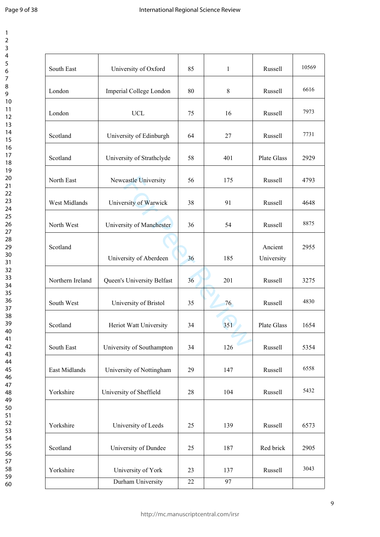Page 9 of 38

 $\mathbf{1}$  $\overline{2}$  $\overline{3}$  $\overline{4}$  $\overline{7}$ 

| South East       | University of Oxford       | 85 | $\mathbf{1}$ | Russell               | 10569 |
|------------------|----------------------------|----|--------------|-----------------------|-------|
| London           | Imperial College London    | 80 | 8            | Russell               | 6616  |
| London           | <b>UCL</b>                 | 75 | 16           | Russell               | 7973  |
| Scotland         | University of Edinburgh    | 64 | 27           | Russell               | 7731  |
| Scotland         | University of Strathclyde  | 58 | 401          | Plate Glass           | 2929  |
| North East       | Newcastle University       | 56 | 175          | Russell               | 4793  |
| West Midlands    | University of Warwick      | 38 | 91           | Russell               | 4648  |
| North West       | University of Manchester   | 36 | 54           | Russell               | 8875  |
| Scotland         | University of Aberdeen     | 36 | 185          | Ancient<br>University | 2955  |
| Northern Ireland | Queen's University Belfast | 36 | 201          | Russell               | 3275  |
| South West       | University of Bristol      | 35 | 76           | Russell               | 4830  |
| Scotland         | Heriot Watt University     | 34 | 351          | Plate Glass           | 1654  |
| South East       | University of Southampton  | 34 | 126          | Russell               | 5354  |
| East Midlands    | University of Nottingham   | 29 | 147          | Russell               | 6558  |
| Yorkshire        | University of Sheffield    | 28 | 104          | Russell               | 5432  |
| Yorkshire        | University of Leeds        | 25 | 139          | Russell               | 6573  |
| Scotland         | University of Dundee       | 25 | 187          | Red brick             | 2905  |
| Yorkshire        | University of York         | 23 | 137          | Russell               | 3043  |
|                  | Durham University          | 22 | 97           |                       |       |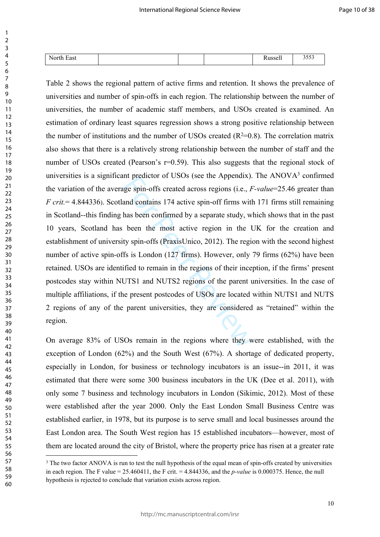| $\mathbf{r}$<br>$\overline{\phantom{a}}$<br>N.<br>cast<br>NU.<br>. . |  | <br>1100<br>33 U.I | $\sim$ $ \sim$<br><u>JJJJ</u> |
|----------------------------------------------------------------------|--|--------------------|-------------------------------|

In prediction of OSOS (see the Appendix).<br>Ige spin-offs created across regions (i.e., *F*<br>and contains 174 active spin-off firms with<br>has been confirmed by a separate study, w<br>been the most active region in the 1<br>ty spin-o Table 2 shows the regional pattern of active firms and retention. It shows the prevalence of universities and number of spin-offs in each region. The relationship between the number of universities, the number of academic staff members, and USOs created is examined. An estimation of ordinary least squares regression shows a strong positive relationship between the number of institutions and the number of USOs created  $(R^2=0.8)$ . The correlation matrix also shows that there is a relatively strong relationship between the number of staff and the number of USOs created (Pearson's  $r=0.59$ ). This also suggests that the regional stock of universities is a significant predictor of USOs (see the Appendix). The ANOV $A<sup>3</sup>$  confirmed the variation of the average spin-offs created across regions (i.e., *F-value*=25.46 greater than *F crit.*= 4.844336). Scotland contains 174 active spin-off firms with 171 firms still remaining in Scotland--this finding has been confirmed by a separate study, which shows that in the past 10 years, Scotland has been the most active region in the UK for the creation and establishment of university spin-offs (PraxisUnico, 2012). The region with the second highest number of active spin-offs is London  $(127 \text{ firms})$ . However, only 79 firms  $(62\%)$  have been retained. USOs are identified to remain in the regions of their inception, if the firms' present postcodes stay within NUTS1 and NUTS2 regions of the parent universities. In the case of multiple affiliations, if the present postcodes of USOs are located within NUTS1 and NUTS 2 regions of any of the parent universities, they are considered as "retained" within the region.

On average 83% of USOs remain in the regions where they were established, with the exception of London (62%) and the South West (67%). A shortage of dedicated property, especially in London, for business or technology incubators is an issue--in 2011, it was estimated that there were some 300 business incubators in the UK (Dee et al. 2011), with only some 7 business and technology incubators in London (Sikimic, 2012). Most of these were established after the year 2000. Only the East London Small Business Centre was established earlier, in 1978, but its purpose is to serve small and local businesses around the East London area. The South West region has 15 established incubators—however, most of them are located around the city of Bristol, where the property price has risen at a greater rate

<sup>&</sup>lt;sup>3</sup> The two factor ANOVA is run to test the null hypothesis of the equal mean of spin-offs created by universities in each region. The F value  $= 25.460411$ , the F crit.  $= 4.844336$ , and the *p-value* is 0.000375. Hence, the null hypothesis is rejected to conclude that variation exists across region.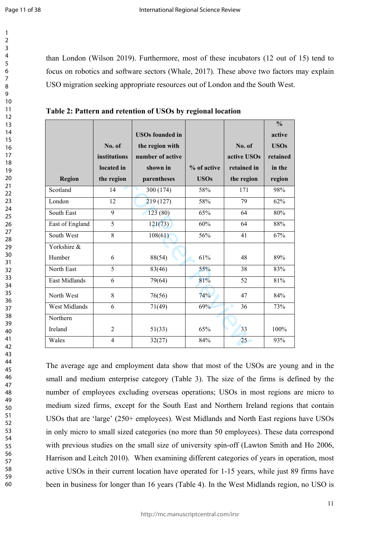$\mathbf{1}$  $\overline{2}$  $\overline{3}$  $\overline{4}$ 5 6  $\overline{7}$ 8 9

than London (Wilson 2019). Furthermore, most of these incubators (12 out of 15) tend to focus on robotics and software sectors (Whale, 2017). These above two factors may explain USO migration seeking appropriate resources out of London and the South West.

|                      |                |                        |             |             | $\frac{0}{0}$ |
|----------------------|----------------|------------------------|-------------|-------------|---------------|
|                      |                | <b>USOs founded in</b> |             |             | active        |
|                      | No. of         | the region with        |             | No. of      | <b>USOs</b>   |
|                      | institutions   | number of active       |             | active USOs | retained      |
|                      | located in     | shown in               | % of active | retained in | in the        |
| <b>Region</b>        | the region     | parentheses            | <b>USOs</b> | the region  | region        |
| Scotland             | 14             | 300 (174)              | 58%         | 171         | 98%           |
| London               | 12             | 219(127)               | 58%         | 79          | 62%           |
| South East           | 9              | 123(80)                | 65%         | 64          | 80%           |
| East of England      | 5              | 121(73)                | 60%         | 64          | 88%           |
| South West           | 8              | 108(61)                | 56%         | 41          | 67%           |
| Yorkshire &          |                |                        |             |             |               |
| Humber               | 6              | 88(54)                 | 61%         | 48          | 89%           |
| North East           | 5              | 83(46)                 | 55%         | 38          | 83%           |
| <b>East Midlands</b> | 6              | 79(64)                 | 81%         | 52          | 81%           |
| North West           | 8              | 76(56)                 | 74%         | 47          | 84%           |
| <b>West Midlands</b> | 6              | 71(49)                 | 69%         | 36          | 73%           |
| Northern             |                |                        |             |             |               |
| Ireland              | $\overline{2}$ | 51(33)                 | 65%         | 33<br>ь     | 100%          |
| Wales                | $\overline{4}$ | 32(27)                 | 84%         | 25          | 93%           |

**Table 2: Pattern and retention of USOs by regional location**

The average age and employment data show that most of the USOs are young and in the small and medium enterprise category (Table 3). The size of the firms is defined by the number of employees excluding overseas operations; USOs in most regions are micro to medium sized firms, except for the South East and Northern Ireland regions that contain USOs that are 'large' (250+ employees). West Midlands and North East regions have USOs in only micro to small sized categories (no more than 50 employees). These data correspond with previous studies on the small size of university spin-off (Lawton Smith and Ho 2006, Harrison and Leitch 2010). When examining different categories of years in operation, most active USOs in their current location have operated for 1-15 years, while just 89 firms have been in business for longer than 16 years (Table 4). In the West Midlands region, no USO is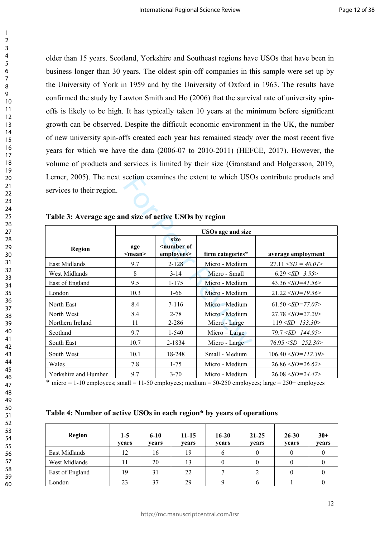older than 15 years. Scotland, Yorkshire and Southeast regions have USOs that have been in business longer than 30 years. The oldest spin-off companies in this sample were set up by the University of York in 1959 and by the University of Oxford in 1963. The results have confirmed the study by Lawton Smith and Ho (2006) that the survival rate of university spinoffs is likely to be high. It has typically taken 10 years at the minimum before significant growth can be observed. Despite the difficult economic environment in the UK, the number of new university spin-offs created each year has remained steady over the most recent five years for which we have the data (2006-07 to 2010-2011) (HEFCE, 2017). However, the volume of products and services is limited by their size (Granstand and Holgersson, 2019, Lerner, 2005). The next section examines the extent to which USOs contribute products and services to their region.

|                                                        |                     |                                        |                          | Lerner, 2005). The next section examines the extent to which USOs contribute products and |  |  |  |  |
|--------------------------------------------------------|---------------------|----------------------------------------|--------------------------|-------------------------------------------------------------------------------------------|--|--|--|--|
| services to their region.                              |                     |                                        |                          |                                                                                           |  |  |  |  |
|                                                        |                     |                                        |                          |                                                                                           |  |  |  |  |
|                                                        |                     |                                        |                          |                                                                                           |  |  |  |  |
| Table 3: Average age and size of active USOs by region |                     |                                        |                          |                                                                                           |  |  |  |  |
|                                                        |                     |                                        | <b>USOs age and size</b> |                                                                                           |  |  |  |  |
| <b>Region</b>                                          | age<br>$<$ mean $>$ | size<br>$\leq$ number of<br>employees> | firm categories*         | average employment                                                                        |  |  |  |  |
| East Midlands                                          | 9.7                 | $2 - 128$                              | Micro - Medium           | $27.11 < SD = 40.01$                                                                      |  |  |  |  |
| West Midlands                                          | 8                   | $3 - 14$                               | Micro - Small            | $6.29 < SD = 3.95$                                                                        |  |  |  |  |
| East of England                                        | 9.5                 | $1 - 175$                              | Micro - Medium           | $43.36 \le SD = 41.56$                                                                    |  |  |  |  |
| London                                                 | 10.3                | $1 - 66$                               | Micro - Medium           | $21.22 \le SD = 19.36$                                                                    |  |  |  |  |
| North East                                             | 8.4                 | $7 - 116$                              | Micro - Medium           | $61.50 \le SD = 77.07$                                                                    |  |  |  |  |
| North West                                             | 8.4                 | $2 - 78$                               | Micro - Medium           | $27.78 < SD = 27.20$                                                                      |  |  |  |  |
| Northern Ireland                                       | 11                  | 2-286                                  | Micro - Large            | $119 < SD = 133.30$                                                                       |  |  |  |  |
| Scotland                                               | 9.7                 | $1 - 540$                              | $Micro - Large$          | $79.7 < SD = 144.95$                                                                      |  |  |  |  |
| South East                                             | 10.7                | 2-1834                                 | Micro - Large            | $76.95 \le SD = 252.30$                                                                   |  |  |  |  |
| South West                                             | 10.1                | 18-248                                 | Small - Medium           | $106.40 \le SD = 112.39$                                                                  |  |  |  |  |
| Wales                                                  | 7.8                 | $1 - 75$                               | Micro - Medium           | $26.86 \le SD = 26.62$                                                                    |  |  |  |  |
| Yorkshire and Humber                                   | 9.7                 | $3 - 70$                               | Micro - Medium           | $26.08 < SD = 24.47$                                                                      |  |  |  |  |

| Table 3: Average age and size of active USOs by region |  |  |
|--------------------------------------------------------|--|--|
|                                                        |  |  |

 $*$  micro = 1-10 employees; small = 11-50 employees; medium = 50-250 employees; large = 250+ employees

**Table 4: Number of active USOs in each region\* by years of operations** 

| <b>Region</b>   | $1-5$<br>vears | $6 - 10$<br>vears | $11 - 15$<br>years | $16 - 20$<br>vears | $21 - 25$<br>vears | $26 - 30$<br>vears | $30+$<br>years |
|-----------------|----------------|-------------------|--------------------|--------------------|--------------------|--------------------|----------------|
| East Midlands   | 12             | 16                | 19                 |                    | v                  |                    |                |
| West Midlands   |                | 20                | 13                 |                    | O                  |                    |                |
| East of England | 19             | 31                | 22                 |                    |                    |                    |                |
| London          | 23             | 37                | 29                 |                    | o                  |                    |                |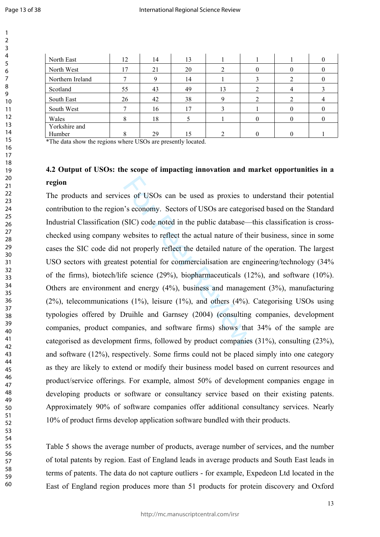$\mathbf{1}$  $\overline{2}$  $\overline{3}$  $\overline{4}$  $\overline{7}$ 

| North East              | 12 | 14 | 13 |    |  |  |
|-------------------------|----|----|----|----|--|--|
| North West              | 17 | 21 | 20 |    |  |  |
| Northern Ireland        |    |    | 14 |    |  |  |
| Scotland                | 55 | 43 | 49 | 13 |  |  |
| South East              | 26 | 42 | 38 |    |  |  |
| South West              |    | 16 | 17 |    |  |  |
| Wales                   | δ  | 18 |    |    |  |  |
| Yorkshire and<br>Humber |    | 29 |    |    |  |  |

\*The data show the regions where USOs are presently located.

# **4.2 Output of USOs: the scope of impacting innovation and market opportunities in a region**

es of USOs can be used as proxies to<br>
''s economy. Sectors of USOs are categor<br>
(SIC) code noted in the public database—<br>
websites to reflect the actual nature of the<br>
not properly reflect the detailed nature of<br>
st potent The products and services of USOs can be used as proxies to understand their potential contribution to the region's economy. Sectors of USOs are categorised based on the Standard Industrial Classification (SIC) code noted in the public database—this classification is crosschecked using company websites to reflect the actual nature of their business, since in some cases the SIC code did not properly reflect the detailed nature of the operation. The largest USO sectors with greatest potential for commercialisation are engineering/technology (34% of the firms), biotech/life science (29%), biopharmaceuticals (12%), and software (10%). Others are environment and energy (4%), business and management (3%), manufacturing (2%), telecommunications (1%), leisure (1%), and others (4%). Categorising USOs using typologies offered by Druihle and Garnsey (2004) (consulting companies, development companies, product companies, and software firms) shows that 34% of the sample are categorised as development firms, followed by product companies (31%), consulting (23%), and software (12%), respectively. Some firms could not be placed simply into one category as they are likely to extend or modify their business model based on current resources and product/service offerings. For example, almost 50% of development companies engage in developing products or software or consultancy service based on their existing patents. Approximately 90% of software companies offer additional consultancy services. Nearly 10% of product firms develop application software bundled with their products.

Table 5 shows the average number of products, average number of services, and the number of total patents by region. East of England leads in average products and South East leads in terms of patents. The data do not capture outliers - for example, Expedeon Ltd located in the East of England region produces more than 51 products for protein discovery and Oxford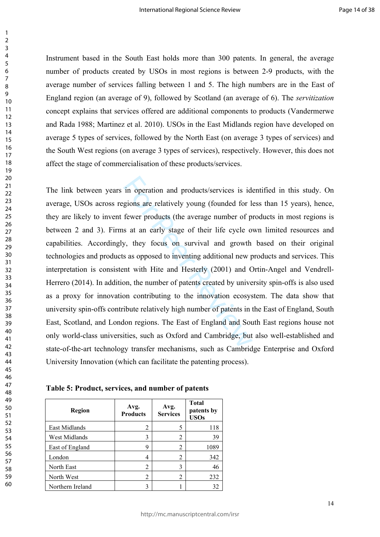Instrument based in the South East holds more than 300 patents. In general, the average number of products created by USOs in most regions is between 2-9 products, with the average number of services falling between 1 and 5. The high numbers are in the East of England region (an average of 9), followed by Scotland (an average of 6). The *servitization* concept explains that services offered are additional components to products (Vandermerwe and Rada 1988; Martinez et al. 2010). USOs in the East Midlands region have developed on average 5 types of services, followed by the North East (on average 3 types of services) and the South West regions (on average 3 types of services), respectively. However, this does not affect the stage of commercialisation of these products/services.

in operation and products/services is id<br>gions are relatively young (founded for 1<br>fewer products (the average number of p<br>s at an early stage of their life cycle o<br>y, they focus on survival and growth<br>s as opposed to inve The link between years in operation and products/services is identified in this study. On average, USOs across regions are relatively young (founded for less than 15 years), hence, they are likely to invent fewer products (the average number of products in most regions is between 2 and 3). Firms at an early stage of their life cycle own limited resources and capabilities. Accordingly, they focus on survival and growth based on their original technologies and products as opposed to inventing additional new products and services. This interpretation is consistent with Hite and Hesterly (2001) and Ortin-Angel and Vendrell-Herrero (2014). In addition, the number of patents created by university spin-offs is also used as a proxy for innovation contributing to the innovation ecosystem. The data show that university spin-offs contribute relatively high number of patents in the East of England, South East, Scotland, and London regions. The East of England and South East regions house not only world-class universities, such as Oxford and Cambridge, but also well-established and state-of-the-art technology transfer mechanisms, such as Cambridge Enterprise and Oxford University Innovation (which can facilitate the patenting process).

**Table 5: Product, services, and number of patents** 

| Region           | Avg.<br><b>Products</b> | Avg.<br><b>Services</b> | <b>Total</b><br>patents by<br><b>USOs</b> |
|------------------|-------------------------|-------------------------|-------------------------------------------|
| East Midlands    | 2                       | 5                       | 118                                       |
| West Midlands    | 3                       | 2                       | 39                                        |
| East of England  | 9                       | 2                       | 1089                                      |
| London           | 4                       | 2                       | 342                                       |
| North East       | 2                       | 3                       | 46                                        |
| North West       | 2                       | 2                       | 232                                       |
| Northern Ireland | 3                       |                         | 32                                        |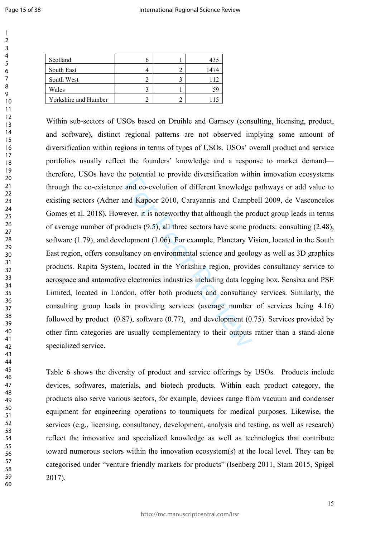$\mathbf{1}$  $\overline{2}$  $\overline{3}$  $\overline{4}$  $\overline{7}$ 

435

1474

115

| Scotland             |  |
|----------------------|--|
| South East           |  |
| South West           |  |
| Wales                |  |
| Yorkshire and Humber |  |

and co-evolution of different knowledge<br>and Kapoor 2010, Carayannis and Camplever, it is noteworthy that although the products  $(9.5)$ , all three sectors have some p<br>elopment  $(1.06)$ . For example, Planetary V<br>ltancy on e Within sub-sectors of USOs based on Druihle and Garnsey (consulting, licensing, product, and software), distinct regional patterns are not observed implying some amount of diversification within regions in terms of types of USOs. USOs' overall product and service portfolios usually reflect the founders' knowledge and a response to market demand therefore, USOs have the potential to provide diversification within innovation ecosystems through the co-existence and co-evolution of different knowledge pathways or add value to existing sectors (Adner and Kapoor 2010, Carayannis and Campbell 2009, de Vasconcelos Gomes et al. 2018). However, it is noteworthy that although the product group leads in terms of average number of products (9.5), all three sectors have some products: consulting (2.48), software (1.79), and development (1.06). For example, Planetary Vision, located in the South East region, offers consultancy on environmental science and geology as well as 3D graphics products. Rapita System, located in the Yorkshire region, provides consultancy service to aerospace and automotive electronics industries including data logging box. Sensixa and PSE Limited, located in London, offer both products and consultancy services. Similarly, the consulting group leads in providing services (average number of services being 4.16) followed by product (0.87), software (0.77), and development (0.75). Services provided by other firm categories are usually complementary to their outputs rather than a stand-alone specialized service.

Table 6 shows the diversity of product and service offerings by USOs. Products include devices, softwares, materials, and biotech products. Within each product category, the products also serve various sectors, for example, devices range from vacuum and condenser equipment for engineering operations to tourniquets for medical purposes. Likewise, the services (e.g., licensing, consultancy, development, analysis and testing, as well as research) reflect the innovative and specialized knowledge as well as technologies that contribute toward numerous sectors within the innovation ecosystem(s) at the local level. They can be categorised under "venture friendly markets for products" (Isenberg 2011, Stam 2015, Spigel 2017).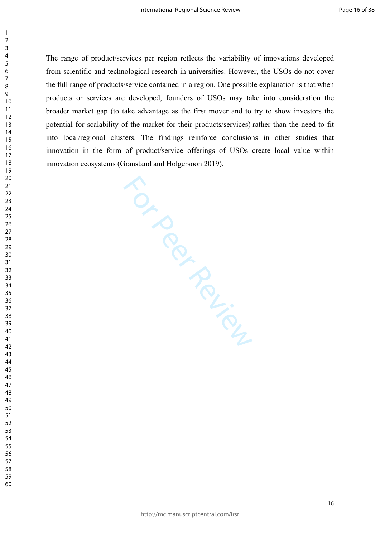The range of product/services per region reflects the variability of innovations developed from scientific and technological research in universities. However, the USOs do not cover the full range of products/service contained in a region. One possible explanation is that when products or services are developed, founders of USOs may take into consideration the broader market gap (to take advantage as the first mover and to try to show investors the potential for scalability of the market for their products/services) rather than the need to fit into local/regional clusters. The findings reinforce conclusions in other studies that innovation in the form of product/service offerings of USOs create local value within innovation ecosystems (Granstand and Holgersoon 2019).

stems (University Control of Control of Control of Control of Control of Control of Control of Control of Control of Control of Control of Control of Control of Control of Control of Control of Control of Control of Contro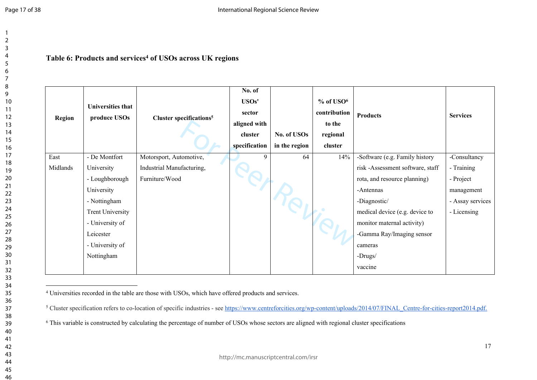## **Table 6: Products and services<sup>4</sup> of USOs across UK regions**

| <b>Region</b> | Universities that<br>produce USOs | Cluster specifications <sup>5</sup> | No. of<br>USOs'<br>sector<br>aligned with<br>cluster<br>specification | No. of USOs<br>in the region | $%$ of USO $6$<br>contribution<br>to the<br>regional<br>cluster | <b>Products</b>                  | <b>Services</b>  |
|---------------|-----------------------------------|-------------------------------------|-----------------------------------------------------------------------|------------------------------|-----------------------------------------------------------------|----------------------------------|------------------|
| East          | - De Montfort                     | Motorsport, Automotive,             | 9                                                                     | 64                           | 14%                                                             | -Software (e.g. Family history   | -Consultancy     |
| Midlands      | University                        | Industrial Manufacturing,           |                                                                       |                              |                                                                 | risk -Assessment software, staff | - Training       |
|               | - Loughborough                    | Furniture/Wood                      |                                                                       |                              |                                                                 | rota, and resource planning)     | - Project        |
|               | University                        |                                     |                                                                       |                              |                                                                 | -Antennas                        | management       |
|               | - Nottingham                      |                                     |                                                                       |                              |                                                                 | -Diagnostic/                     | - Assay services |
|               | <b>Trent University</b>           |                                     |                                                                       |                              |                                                                 | medical device (e.g. device to   | - Licensing      |
|               | - University of                   |                                     |                                                                       |                              |                                                                 | monitor maternal activity)       |                  |
|               | Leicester                         |                                     |                                                                       |                              |                                                                 | -Gamma Ray/Imaging sensor        |                  |
|               | - University of                   |                                     |                                                                       |                              |                                                                 | cameras                          |                  |
|               | Nottingham                        |                                     |                                                                       |                              |                                                                 | -Drugs/                          |                  |
|               |                                   |                                     |                                                                       |                              |                                                                 | vaccine                          |                  |

4 Universities recorded in the table are those with USOs, which have offered products and services.

<sup>5</sup> Cluster specification refers to co-location of specific industries - see [https://www.centreforcities.org/wp-content/uploads/2014/07/FINAL\\_Centre-for-cities-report2014.pdf.](https://www.centreforcities.org/wp-content/uploads/2014/07/FINAL_Centre-for-cities-report2014.pdf.)

<sup>6</sup> This variable is constructed by calculating the percentage of number of USOs whose sectors are aligned with regional cluster specifications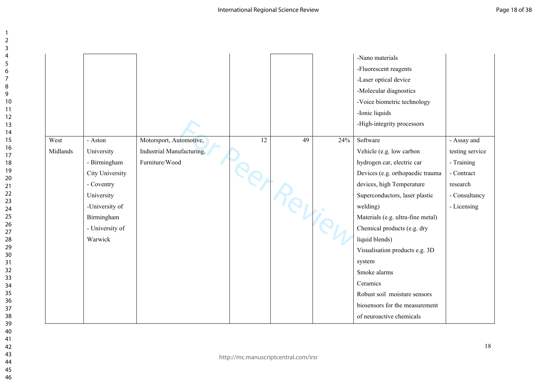|          |                 |                           |    |          |     | -Nano materials<br>-Fluorescent reagents<br>-Laser optical device<br>-Molecular diagnostics<br>-Voice biometric technology<br>-Ionic liquids<br>-High-integrity processors |                 |
|----------|-----------------|---------------------------|----|----------|-----|----------------------------------------------------------------------------------------------------------------------------------------------------------------------------|-----------------|
| West     | - Aston         | Motorsport, Automotive,   | 12 | 49       | 24% | Software                                                                                                                                                                   | - Assay and     |
| Midlands | University      | Industrial Manufacturing, |    |          |     | Vehicle (e.g. low carbon                                                                                                                                                   | testing service |
|          | - Birmingham    | Furniture/Wood            |    |          |     | hydrogen car, electric car                                                                                                                                                 | - Training      |
|          | City University |                           |    |          |     | Devices (e.g. orthopaedic trauma                                                                                                                                           | - Contract      |
|          | - Coventry      |                           |    | IPRI Rey |     | devices, high Temperature                                                                                                                                                  | research        |
|          | University      |                           |    |          |     | Superconductors, laser plastic                                                                                                                                             | - Consultancy   |
|          | -University of  |                           |    |          |     | welding)                                                                                                                                                                   | - Licensing     |
|          | Birmingham      |                           |    |          |     | Materials (e.g. ultra-fine metal)                                                                                                                                          |                 |
|          | - University of |                           |    |          |     | Chemical products (e.g. dry                                                                                                                                                |                 |
|          | Warwick         |                           |    |          |     | liquid blends)                                                                                                                                                             |                 |
|          |                 |                           |    |          |     | Visualisation products e.g. 3D                                                                                                                                             |                 |
|          |                 |                           |    |          |     | system                                                                                                                                                                     |                 |
|          |                 |                           |    |          |     | Smoke alarms                                                                                                                                                               |                 |
|          |                 |                           |    |          |     | Ceramics                                                                                                                                                                   |                 |
|          |                 |                           |    |          |     | Robust soil moisture sensors                                                                                                                                               |                 |
|          |                 |                           |    |          |     | biosensors for the measurement                                                                                                                                             |                 |
|          |                 |                           |    |          |     | of neuroactive chemicals                                                                                                                                                   |                 |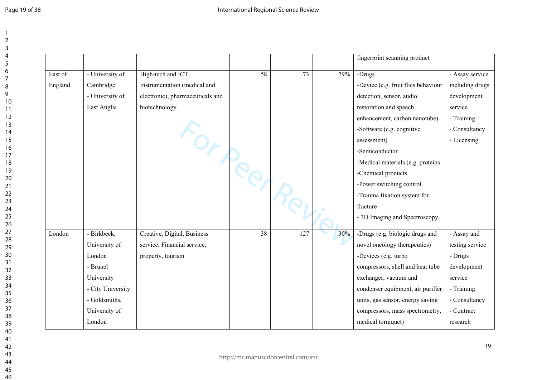|         |                   |                                  |                 |     |     | fingerprint scanning product        |                 |
|---------|-------------------|----------------------------------|-----------------|-----|-----|-------------------------------------|-----------------|
| East of | - University of   | High-tech and ICT,               | $\overline{58}$ | 73  | 79% | -Drugs                              | - Assay service |
| England | Cambridge         | Instrumentation (medical and     |                 |     |     | -Device (e.g. fruit flies behaviour | including drugs |
|         | - University of   | electronic), pharmaceuticals and |                 |     |     | detection, sensor, audio            | development     |
|         | East Anglia       | biotechnology                    |                 |     |     | restoration and speech              | service         |
|         |                   |                                  |                 |     |     | enhancement, carbon nanotube)       | - Training      |
|         |                   |                                  |                 |     |     | -Software (e.g. cognitive           | - Consultancy   |
|         |                   | For perp                         |                 |     |     | assessment)                         | - Licensing     |
|         |                   |                                  |                 |     |     | -Semiconductor                      |                 |
|         |                   |                                  |                 |     |     | -Medical materials (e.g. proteins   |                 |
|         |                   |                                  |                 |     |     | -Chemical products                  |                 |
|         |                   |                                  |                 |     |     | -Power switching control            |                 |
|         |                   |                                  |                 |     |     | -Trauma fixation system for         |                 |
|         |                   |                                  |                 |     |     | fracture                            |                 |
|         |                   |                                  |                 |     |     | - 3D Imaging and Spectroscopy       |                 |
| London  | - Birkbeck,       | Creative, Digital, Business      | 38              | 127 | 30% | -Drugs (e.g. biologic drugs and     | - Assay and     |
|         | University of     | service, Financial service,      |                 |     |     | novel oncology therapeutics)        | testing service |
|         | London            | property, tourism                |                 |     |     | -Devices (e.g. turbo                | - Drugs         |
|         | - Brunel          |                                  |                 |     |     | compressors, shell and heat tube    | development     |
|         | University        |                                  |                 |     |     | exchanger, vacuum and               | service         |
|         | - City University |                                  |                 |     |     | condenser equipment, air purifier   | - Training      |
|         | - Goldsmiths,     |                                  |                 |     |     | units, gas sensor, energy saving    | - Consultancy   |
|         | University of     |                                  |                 |     |     | compressors, mass spectrometry,     | - Contract      |
|         | London            |                                  |                 |     |     | medical torniquet)                  | research        |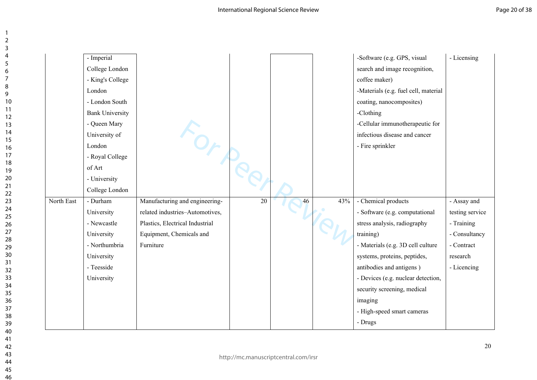|            | - Imperial             |                                 |    |    |     | -Software (e.g. GPS, visual          | - Licensing     |
|------------|------------------------|---------------------------------|----|----|-----|--------------------------------------|-----------------|
|            | College London         |                                 |    |    |     | search and image recognition,        |                 |
|            | - King's College       |                                 |    |    |     | coffee maker)                        |                 |
|            | London                 |                                 |    |    |     | -Materials (e.g. fuel cell, material |                 |
|            | - London South         |                                 |    |    |     | coating, nanocomposites)             |                 |
|            | <b>Bank University</b> |                                 |    |    |     | -Clothing                            |                 |
|            | - Queen Mary           |                                 |    |    |     | -Cellular immunotherapeutic for      |                 |
|            | University of          |                                 |    |    |     | infectious disease and cancer        |                 |
|            | London                 |                                 |    |    |     | - Fire sprinkler                     |                 |
|            | - Royal College        |                                 |    |    |     |                                      |                 |
|            | of Art                 |                                 |    |    |     |                                      |                 |
|            | - University           |                                 |    |    |     |                                      |                 |
|            | College London         |                                 |    |    |     |                                      |                 |
| North East | - Durham               | Manufacturing and engineering-  | 20 | 46 | 43% | - Chemical products                  | - Assay and     |
|            | University             | related industries-Automotives, |    |    |     | - Software (e.g. computational       | testing service |
|            | - Newcastle            | Plastics, Electrical Industrial |    |    |     | stress analysis, radiography         | - Training      |
|            | University             | Equipment, Chemicals and        |    |    |     | training)                            | - Consultancy   |
|            | - Northumbria          | Furniture                       |    |    |     | - Materials (e.g. 3D cell culture    | - Contract      |
|            | University             |                                 |    |    |     | systems, proteins, peptides,         | research        |
|            | - Teesside             |                                 |    |    |     | antibodies and antigens)             | - Licencing     |
|            | University             |                                 |    |    |     | - Devices (e.g. nuclear detection,   |                 |
|            |                        |                                 |    |    |     | security screening, medical          |                 |
|            |                        |                                 |    |    |     | imaging                              |                 |
|            |                        |                                 |    |    |     | - High-speed smart cameras           |                 |
|            |                        |                                 |    |    |     | - Drugs                              |                 |
|            |                        |                                 |    |    |     |                                      |                 |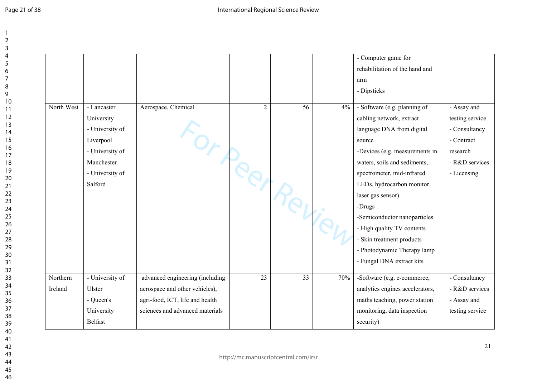| Page 21 of 38 |  |
|---------------|--|
|---------------|--|

|                     |                                                                                                                          |                                                                    |                |    |       | - Computer game for<br>rehabilitation of the hand and<br>arm<br>- Dipsticks                                                                                                                                                                                                                                                                                                                                         |                                                                                                            |
|---------------------|--------------------------------------------------------------------------------------------------------------------------|--------------------------------------------------------------------|----------------|----|-------|---------------------------------------------------------------------------------------------------------------------------------------------------------------------------------------------------------------------------------------------------------------------------------------------------------------------------------------------------------------------------------------------------------------------|------------------------------------------------------------------------------------------------------------|
| North West          | - Lancaster<br>University<br>- University of<br>Liverpool<br>- University of<br>Manchester<br>- University of<br>Salford | Aerospace, Chemical<br>For peer Peliev                             | $\overline{2}$ | 56 | $4\%$ | - Software (e.g. planning of<br>cabling network, extract<br>language DNA from digital<br>source<br>-Devices (e.g. measurements in<br>waters, soils and sediments,<br>spectrometer, mid-infrared<br>LEDs, hydrocarbon monitor,<br>laser gas sensor)<br>-Drugs<br>-Semiconductor nanoparticles<br>- High quality TV contents<br>- Skin treatment products<br>- Photodynamic Therapy lamp<br>- Fungal DNA extract kits | - Assay and<br>testing service<br>- Consultancy<br>- Contract<br>research<br>- R&D services<br>- Licensing |
| Northern<br>Ireland | - University of<br>Ulster                                                                                                | advanced engineering (including<br>aerospace and other vehicles),  | 23             | 33 | 70%   | -Software (e.g. e-commerce,<br>analytics engines accelerators,                                                                                                                                                                                                                                                                                                                                                      | - Consultancy<br>- R&D services                                                                            |
|                     | - Queen's<br>University<br><b>Belfast</b>                                                                                | agri-food, ICT, life and health<br>sciences and advanced materials |                |    |       | maths teaching, power station<br>monitoring, data inspection<br>security)                                                                                                                                                                                                                                                                                                                                           | - Assay and<br>testing service                                                                             |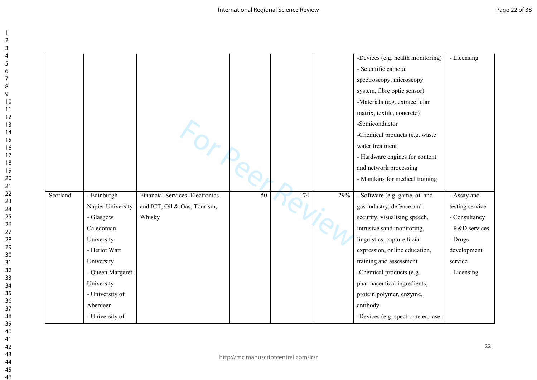|          |                   |                                 |    |     |     | -Devices (e.g. health monitoring)  | - Licensing     |
|----------|-------------------|---------------------------------|----|-----|-----|------------------------------------|-----------------|
|          |                   |                                 |    |     |     | - Scientific camera,               |                 |
|          |                   |                                 |    |     |     | spectroscopy, microscopy           |                 |
|          |                   |                                 |    |     |     | system, fibre optic sensor)        |                 |
|          |                   |                                 |    |     |     | -Materials (e.g. extracellular     |                 |
|          |                   |                                 |    |     |     | matrix, textile, concrete)         |                 |
|          |                   | Fort                            |    |     |     | -Semiconductor                     |                 |
|          |                   |                                 |    |     |     | -Chemical products (e.g. waste     |                 |
|          |                   |                                 |    |     |     | water treatment                    |                 |
|          |                   |                                 |    |     |     | - Hardware engines for content     |                 |
|          |                   |                                 |    |     |     | and network processing             |                 |
|          |                   |                                 |    |     |     | - Manikins for medical training    |                 |
| Scotland | - Edinburgh       | Financial Services, Electronics | 50 | 174 | 29% | - Software (e.g. game, oil and     | - Assay and     |
|          | Napier University | and ICT, Oil & Gas, Tourism,    |    |     |     | gas industry, defence and          | testing service |
|          | - Glasgow         | Whisky                          |    |     |     | security, visualising speech,      | - Consultancy   |
|          | Caledonian        |                                 |    |     |     | intrusive sand monitoring,         | - R&D services  |
|          | University        |                                 |    |     |     | linguistics, capture facial        | - Drugs         |
|          | - Heriot Watt     |                                 |    |     |     | expression, online education,      | development     |
|          | University        |                                 |    |     |     | training and assessment            | service         |
|          | - Queen Margaret  |                                 |    |     |     | -Chemical products (e.g.           | - Licensing     |
|          | University        |                                 |    |     |     | pharmaceutical ingredients,        |                 |
|          | - University of   |                                 |    |     |     | protein polymer, enzyme,           |                 |
|          | Aberdeen          |                                 |    |     |     | antibody                           |                 |
|          | - University of   |                                 |    |     |     | -Devices (e.g. spectrometer, laser |                 |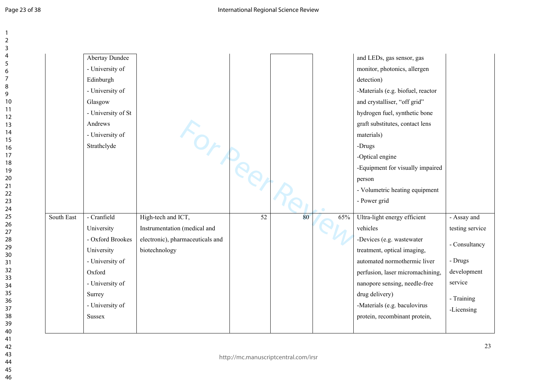|            | Abertay Dundee<br>- University of |                                  |                 |    |     | and LEDs, gas sensor, gas<br>monitor, photonics, allergen<br>detection) |                 |
|------------|-----------------------------------|----------------------------------|-----------------|----|-----|-------------------------------------------------------------------------|-----------------|
|            | Edinburgh<br>- University of      |                                  |                 |    |     | -Materials (e.g. biofuel, reactor                                       |                 |
|            | Glasgow<br>- University of St     |                                  |                 |    |     | and crystalliser, "off grid"<br>hydrogen fuel, synthetic bone           |                 |
|            | Andrews                           |                                  |                 |    |     | graft substitutes, contact lens                                         |                 |
|            | - University of<br>Strathclyde    |                                  |                 |    |     | materials)                                                              |                 |
|            |                                   | FOR PREY R.                      |                 |    |     | -Drugs<br>-Optical engine                                               |                 |
|            |                                   |                                  |                 |    |     | -Equipment for visually impaired                                        |                 |
|            |                                   |                                  |                 |    |     | person                                                                  |                 |
|            |                                   |                                  |                 |    |     | - Volumetric heating equipment                                          |                 |
|            |                                   |                                  |                 |    |     | - Power grid                                                            |                 |
| South East | - Cranfield                       | High-tech and ICT,               | $\overline{52}$ | 80 | 65% | Ultra-light energy efficient                                            | - Assay and     |
|            | University                        | Instrumentation (medical and     |                 |    |     | vehicles                                                                | testing service |
|            | - Oxford Brookes                  | electronic), pharmaceuticals and |                 |    |     | -Devices (e.g. wastewater                                               | - Consultancy   |
|            | University                        | biotechnology                    |                 |    |     | treatment, optical imaging,                                             |                 |
|            | - University of                   |                                  |                 |    |     | automated normothermic liver                                            | - Drugs         |
|            | Oxford                            |                                  |                 |    |     | perfusion, laser micromachining,                                        | development     |
|            | - University of                   |                                  |                 |    |     | nanopore sensing, needle-free                                           | service         |
|            | Surrey                            |                                  |                 |    |     | drug delivery)                                                          | - Training      |
|            | - University of                   |                                  |                 |    |     | -Materials (e.g. baculovirus                                            | -Licensing      |
|            | <b>Sussex</b>                     |                                  |                 |    |     | protein, recombinant protein,                                           |                 |
|            |                                   |                                  |                 |    |     |                                                                         |                 |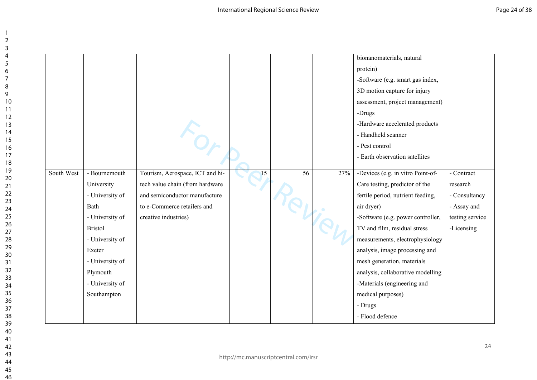| South West | - Bournemouth<br>University<br>- University of<br>Bath<br>- University of<br><b>Bristol</b><br>- University of<br>Exeter<br>- University of | Tourism, Aerospace, ICT and hi-<br>tech value chain (from hardware<br>and semiconductor manufacture<br>to e-Commerce retailers and<br>creative industries) | 15 | $\overline{56}$ | 27% | bionanomaterials, natural<br>protein)<br>-Software (e.g. smart gas index,<br>3D motion capture for injury<br>assessment, project management)<br>-Drugs<br>-Hardware accelerated products<br>- Handheld scanner<br>- Pest control<br>- Earth observation satellites<br>-Devices (e.g. in vitro Point-of-<br>Care testing, predictor of the<br>fertile period, nutrient feeding,<br>air dryer)<br>-Software (e.g. power controller,<br>TV and film, residual stress<br>measurements, electrophysiology<br>analysis, image processing and<br>mesh generation, materials | - Contract<br>research<br>- Consultancy<br>- Assay and<br>testing service<br>-Licensing |
|------------|---------------------------------------------------------------------------------------------------------------------------------------------|------------------------------------------------------------------------------------------------------------------------------------------------------------|----|-----------------|-----|----------------------------------------------------------------------------------------------------------------------------------------------------------------------------------------------------------------------------------------------------------------------------------------------------------------------------------------------------------------------------------------------------------------------------------------------------------------------------------------------------------------------------------------------------------------------|-----------------------------------------------------------------------------------------|
|            |                                                                                                                                             |                                                                                                                                                            |    |                 |     |                                                                                                                                                                                                                                                                                                                                                                                                                                                                                                                                                                      |                                                                                         |
|            | Plymouth                                                                                                                                    |                                                                                                                                                            |    |                 |     | analysis, collaborative modelling                                                                                                                                                                                                                                                                                                                                                                                                                                                                                                                                    |                                                                                         |
|            | - University of                                                                                                                             |                                                                                                                                                            |    |                 |     | -Materials (engineering and                                                                                                                                                                                                                                                                                                                                                                                                                                                                                                                                          |                                                                                         |
|            | Southampton                                                                                                                                 |                                                                                                                                                            |    |                 |     | medical purposes)                                                                                                                                                                                                                                                                                                                                                                                                                                                                                                                                                    |                                                                                         |
|            |                                                                                                                                             |                                                                                                                                                            |    |                 |     | - Drugs                                                                                                                                                                                                                                                                                                                                                                                                                                                                                                                                                              |                                                                                         |
|            |                                                                                                                                             |                                                                                                                                                            |    |                 |     | - Flood defence                                                                                                                                                                                                                                                                                                                                                                                                                                                                                                                                                      |                                                                                         |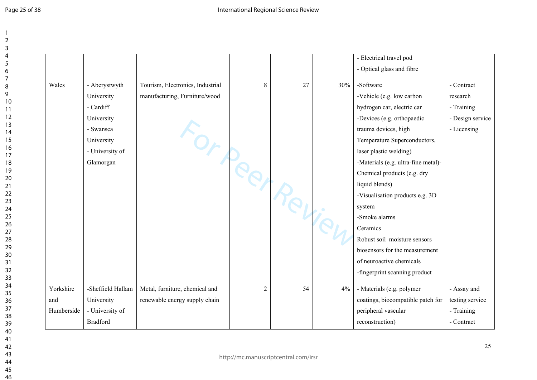|            |                   |                                  |                |                 |     | - Electrical travel pod<br>- Optical glass and fibre |                  |
|------------|-------------------|----------------------------------|----------------|-----------------|-----|------------------------------------------------------|------------------|
| Wales      | - Aberystwyth     | Tourism, Electronics, Industrial | 8              | $\overline{27}$ | 30% | -Software                                            | - Contract       |
|            | University        | manufacturing, Furniture/wood    |                |                 |     | -Vehicle (e.g. low carbon                            | research         |
|            | - Cardiff         |                                  |                |                 |     | hydrogen car, electric car                           | - Training       |
|            | University        |                                  |                |                 |     | -Devices (e.g. orthopaedic                           | - Design service |
|            | - Swansea         |                                  |                |                 |     | trauma devices, high                                 | - Licensing      |
|            | University        |                                  |                |                 |     | Temperature Superconductors,                         |                  |
|            | - University of   |                                  |                |                 |     | laser plastic welding)                               |                  |
|            | Glamorgan         | For peer Revie                   |                |                 |     | -Materials (e.g. ultra-fine metal)-                  |                  |
|            |                   |                                  |                |                 |     | Chemical products (e.g. dry                          |                  |
|            |                   |                                  |                |                 |     | liquid blends)                                       |                  |
|            |                   |                                  |                |                 |     | -Visualisation products e.g. 3D                      |                  |
|            |                   |                                  |                |                 |     | system                                               |                  |
|            |                   |                                  |                |                 |     | -Smoke alarms                                        |                  |
|            |                   |                                  |                |                 |     | Ceramics                                             |                  |
|            |                   |                                  |                |                 |     | Robust soil moisture sensors                         |                  |
|            |                   |                                  |                |                 |     | biosensors for the measurement                       |                  |
|            |                   |                                  |                |                 |     | of neuroactive chemicals                             |                  |
|            |                   |                                  |                |                 |     | -fingerprint scanning product                        |                  |
| Yorkshire  | -Sheffield Hallam | Metal, furniture, chemical and   | $\overline{2}$ | 54              | 4%  | - Materials (e.g. polymer                            | - Assay and      |
| and        | University        | renewable energy supply chain    |                |                 |     | coatings, biocompatible patch for                    | testing service  |
| Humberside | - University of   |                                  |                |                 |     | peripheral vascular                                  | - Training       |
|            |                   |                                  |                |                 |     |                                                      |                  |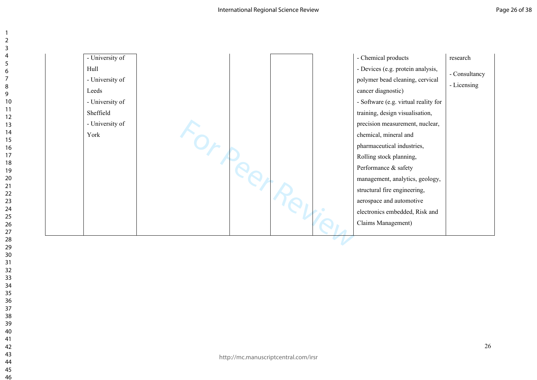$\overline{\phantom{0}}$  $\overline{2}$  $\overline{3}$  $\overline{4}$ 5 6  $\overline{7}$ 8 9

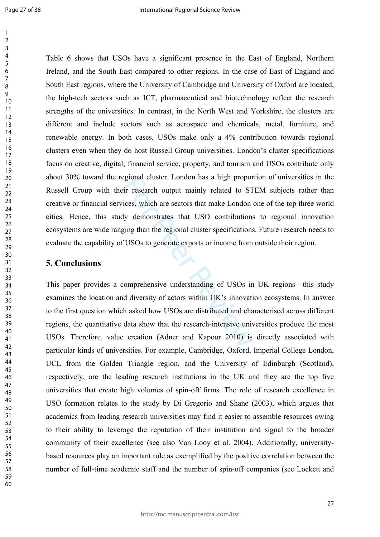Expond cluster. London has a high proportive research output mainly related to S1<br>ices, which are sectors that make London<br>ly demonstrates that USO contribution<br>sing than the regional cluster specifications<br>CLUSOs to gener Table 6 shows that USOs have a significant presence in the East of England, Northern Ireland, and the South East compared to other regions. In the case of East of England and South East regions, where the University of Cambridge and University of Oxford are located, the high-tech sectors such as ICT, pharmaceutical and biotechnology reflect the research strengths of the universities. In contrast, in the North West and Yorkshire, the clusters are different and include sectors such as aerospace and chemicals, metal, furniture, and renewable energy. In both cases, USOs make only a 4% contribution towards regional clusters even when they do host Russell Group universities. London's cluster specifications focus on creative, digital, financial service, property, and tourism and USOs contribute only about 30% toward the regional cluster. London has a high proportion of universities in the Russell Group with their research output mainly related to STEM subjects rather than creative or financial services, which are sectors that make London one of the top three world cities. Hence, this study demonstrates that USO contributions to regional innovation ecosystems are wide ranging than the regional cluster specifications. Future research needs to evaluate the capability of USOs to generate exports or income from outside their region.

#### **5. Conclusions**

This paper provides a comprehensive understanding of USOs in UK regions—this study examines the location and diversity of actors within UK's innovation ecosystems. In answer to the first question which asked how USOs are distributed and characterised across different regions, the quantitative data show that the research-intensive universities produce the most USOs. Therefore, value creation (Adner and Kapoor 2010) is directly associated with particular kinds of universities. For example, Cambridge, Oxford, Imperial College London, UCL from the Golden Triangle region, and the University of Edinburgh (Scotland), respectively, are the leading research institutions in the UK and they are the top five universities that create high volumes of spin-off firms. The role of research excellence in USO formation relates to the study by Di Gregorio and Shane (2003), which argues that academics from leading research universities may find it easier to assemble resources owing to their ability to leverage the reputation of their institution and signal to the broader community of their excellence (see also Van Looy et al. 2004). Additionally, universitybased resources play an important role as exemplified by the positive correlation between the number of full-time academic staff and the number of spin-off companies (see Lockett and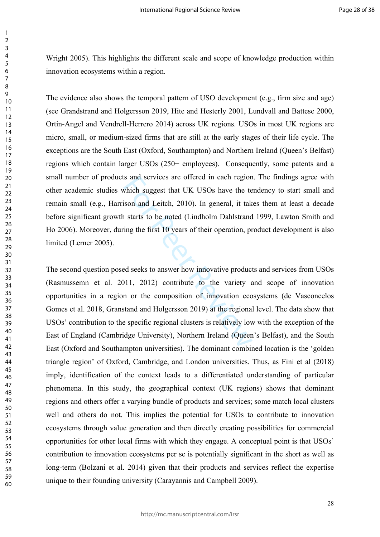Wright 2005). This highlights the different scale and scope of knowledge production within innovation ecosystems within a region.

The evidence also shows the temporal pattern of USO development (e.g., firm size and age) (see Grandstrand and Holgersson 2019, Hite and Hesterly 2001, Lundvall and Battese 2000, Ortin-Angel and Vendrell-Herrero 2014) across UK regions. USOs in most UK regions are micro, small, or medium-sized firms that are still at the early stages of their life cycle. The exceptions are the South East (Oxford, Southampton) and Northern Ireland (Queen's Belfast) regions which contain larger USOs (250+ employees). Consequently, some patents and a small number of products and services are offered in each region. The findings agree with other academic studies which suggest that UK USOs have the tendency to start small and remain small (e.g., Harrison and Leitch, 2010). In general, it takes them at least a decade before significant growth starts to be noted (Lindholm Dahlstrand 1999, Lawton Smith and Ho 2006). Moreover, during the first 10 years of their operation, product development is also limited (Lerner 2005).

Is and services are offered in each region<br>which suggest that UK USOs have the te<br>ison and Leitch, 2010). In general, it tak<br>a starts to be noted (Lindholm Dahlstrand<br>ing the first 10 years of their operation, pr<br>ed seeks The second question posed seeks to answer how innovative products and services from USOs (Rasmussemn et al. 2011, 2012) contribute to the variety and scope of innovation opportunities in a region or the composition of innovation ecosystems (de Vasconcelos Gomes et al. 2018, Granstand and Holgersson 2019) at the regional level. The data show that USOs' contribution to the specific regional clusters is relatively low with the exception of the East of England (Cambridge University), Northern Ireland (Queen's Belfast), and the South East (Oxford and Southampton universities). The dominant combined location is the 'golden triangle region' of Oxford, Cambridge, and London universities. Thus, as Fini et al (2018) imply, identification of the context leads to a differentiated understanding of particular phenomena. In this study, the geographical context (UK regions) shows that dominant regions and others offer a varying bundle of products and services; some match local clusters well and others do not. This implies the potential for USOs to contribute to innovation ecosystems through value generation and then directly creating possibilities for commercial opportunities for other local firms with which they engage. A conceptual point is that USOs' contribution to innovation ecosystems per se is potentially significant in the short as well as long-term (Bolzani et al. 2014) given that their products and services reflect the expertise unique to their founding university (Carayannis and Campbell 2009).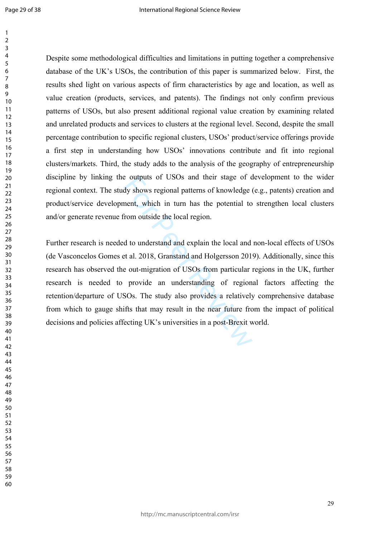Despite some methodological difficulties and limitations in putting together a comprehensive database of the UK's USOs, the contribution of this paper is summarized below. First, the results shed light on various aspects of firm characteristics by age and location, as well as value creation (products, services, and patents). The findings not only confirm previous patterns of USOs, but also present additional regional value creation by examining related and unrelated products and services to clusters at the regional level. Second, despite the small percentage contribution to specific regional clusters, USOs' product/service offerings provide a first step in understanding how USOs' innovations contribute and fit into regional clusters/markets. Third, the study adds to the analysis of the geography of entrepreneurship discipline by linking the outputs of USOs and their stage of development to the wider regional context. The study shows regional patterns of knowledge (e.g., patents) creation and product/service development, which in turn has the potential to strengthen local clusters and/or generate revenue from outside the local region.

e outputs of USOs and their stage of c<br>dy shows regional patterns of knowledge (<br>nent, which in turn has the potential to<br>from outside the local region.<br>d to understand and explain the local and<br>et al. 2018, Granstand and Further research is needed to understand and explain the local and non-local effects of USOs (de Vasconcelos Gomes et al. 2018, Granstand and Holgersson 2019). Additionally, since this research has observed the out-migration of USOs from particular regions in the UK, further research is needed to provide an understanding of regional factors affecting the retention/departure of USOs. The study also provides a relatively comprehensive database from which to gauge shifts that may result in the near future from the impact of political decisions and policies affecting UK's universities in a post-Brexit world.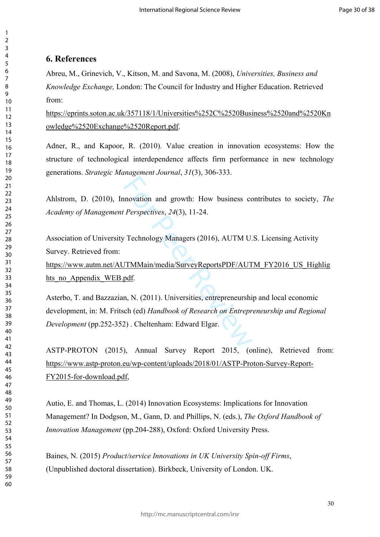#### **6. References**

Abreu, M., Grinevich, V., Kitson, M. and Savona, M. (2008), *Universities, Business and Knowledge Exchange,* London: The Council for Industry and Higher Education. Retrieved from:

[https://eprints.soton.ac.uk/357118/1/Universities%252C%2520Business%2520and%2520Kn](https://eprints.soton.ac.uk/357118/1/Universities%252C%2520Business%2520and%2520Knowledge%2520Exchange%2520Report.pdf) [owledge%2520Exchange%2520Report.pdf.](https://eprints.soton.ac.uk/357118/1/Universities%252C%2520Business%2520and%2520Knowledge%2520Exchange%2520Report.pdf)

Adner, R., and Kapoor, R. (2010). Value creation in innovation ecosystems: How the structure of technological interdependence affects firm performance in new technology generations. *Strategic Management Journal*, *31*(3), 306-333.

Ahlstrom, D. (2010), Innovation and growth: How business contributes to society, *The Academy of Management Perspectives*, *24*(3), 11-24.

Association of University Technology Managers (2016), AUTM U.S. Licensing Activity Survey. Retrieved from:

[https://www.autm.net/AUTMMain/media/SurveyReportsPDF/AUTM\\_FY2016\\_US\\_Highlig](https://www.autm.net/AUTMMain/media/SurveyReportsPDF/AUTM_FY2016_US_Highlights_no_Appendix_WEB.pdf) hts no Appendix WEB.pdf.

movation and growth: How business constrained the *Perspectives*, 24(3), 11-24.<br>
Fechnology Managers (2016), AUTM U.<br>
JTMMain/media/SurveyReportsPDF/AUT<br>
pdf.<br>
n, N. (2011). Universities, entrepreneurshis ch (ed) *Handbook* Asterbo, T. and Bazzazian, N. (2011). Universities, entrepreneurship and local economic development, in: M. Fritsch (ed) *Handbook of Research on Entrepreneurship and Regional Development* (pp.252-352) . Cheltenham: Edward Elgar.

ASTP-PROTON (2015), Annual Survey Report 2015, (online), Retrieved from: [https://www.astp-proton.eu/wp-content/uploads/2018/01/ASTP-Proton-Survey-Report-](https://www.astp-proton.eu/wp-content/uploads/2018/01/ASTP-Proton-Survey-Report-FY2015-for-download.pdf)[FY2015-for-download.pdf,](https://www.astp-proton.eu/wp-content/uploads/2018/01/ASTP-Proton-Survey-Report-FY2015-for-download.pdf)

Autio, E. and Thomas, L. (2014) Innovation Ecosystems: Implications for Innovation Management? In Dodgson, M., Gann, D. and Phillips, N. (eds.), *The Oxford Handbook of Innovation Management* (pp.204-288), Oxford: Oxford University Press.

Baines, N. (2015) *Product/service Innovations in UK University Spin-off Firms*, (Unpublished doctoral dissertation). Birkbeck, University of London. UK.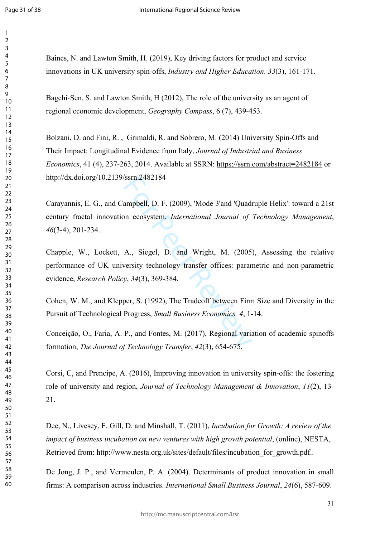$\mathbf{1}$  $\overline{2}$  $\overline{3}$  $\overline{4}$  $\overline{7}$ 

Baines, N. and Lawton Smith, H. (2019), Key driving factors for product and service innovations in UK university spin-offs, *Industry and Higher Education* . *33*(3), 161-171.

Bagchi ‐Sen, S. and Lawton Smith, H (2012), The role of the university as an agent of regional economic development, *Geography Compass*, 6 (7), 439-453.

Bolzani, D. and Fini, R. , Grimaldi, R. and Sobrero, M. (2014) University Spin-Offs and Their Impact: Longitudinal Evidence from Italy, *Journal of Industrial and Business Economics*, 41 (4), 237-263, 2014. Available at SSRN:<https://ssrn.com/abstract=2482184> or [http://dx.doi.org/10.2139/ssrn.2482184](https://dx.doi.org/10.2139/ssrn.2482184) 

SSIM.2482184<br>
ampbell, D. F. (2009), 'Mode 3'and 'Quadion<br>
necosystem, *International Journal of*<br>
A., Siegel, D. and Wright, M. (2005)<br>
versity technology transfer offices: paran<br>
y, 34(3), 369-384.<br>
per, S. (1992), The Carayannis, E. G., and Campbell, D. F. (2009), 'Mode 3'and 'Quadruple Helix': toward a 21st century fractal innovation ecosystem, *International Journal of Technology Management*, (3-4), 201-234.

Chapple, W., Lockett, A., Siegel, D. and Wright, M. (2005), Assessing the relative performance of UK university technology transfer offices: parametric and non-parametric evidence, *Research Policy*, *34*(3), 369-384.

Cohen, W. M., and Klepper, S. (1992), The Tradeoff between Firm Size and Diversity in the Pursuit of Technological Progress, *Small Business Economics, 4*, 1-14.

Conceição, O., Faria, A. P., and Fontes, M. (2017), Regional variation of academic spinoffs formation, *The Journal of Technology Transfer*, *42*(3), 654-675.

Corsi, C, and Prencipe, A. (2016), Improving innovation in university spin-offs: the fostering role of university and region, *Journal of Technology Management & Innovation*, *11*(2), 13- 21.

Dee, N., Livesey, F. Gill, D. and Minshall, T. (2011), *Incubation for Growth: A review of the impact of business incubation on new ventures with high growth potential*, (online), NESTA, Retrieved from: [http://www.nesta.org.uk/sites/default/files/incubation\\_for\\_growth.pdf.](http://www.nesta.org.uk/sites/default/files/incubation_for_growth.pdf).

De Jong, J. P., and Vermeulen, P. A. (2004). Determinants of product innovation in small firms: A comparison across industries. *International Small Business Journal*, *24*(6), 587-609.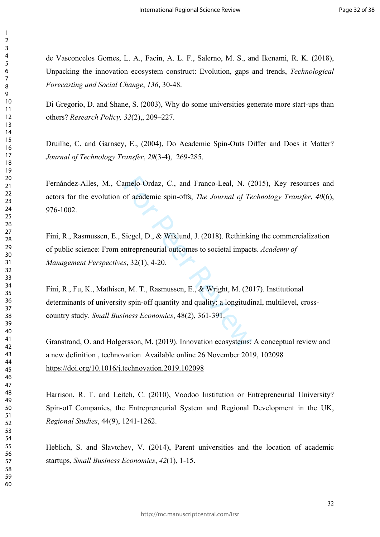de Vasconcelos Gomes, L. A., Facin, A. L. F., Salerno, M. S., and Ikenami, R. K. (2018), Unpacking the innovation ecosystem construct: Evolution, gaps and trends, *Technological Forecasting and Social Change*, *136*, 30-48.

Di Gregorio, D. and Shane, S. (2003), Why do some universities generate more start-ups than others? *Research Policy, 32*(2),, 209–227.

Druilhe, C. and Garnsey, E., (2004), Do Academic Spin-Outs Differ and Does it Matter? *Journal of Technology Transfer*, *29*(3-4), 269-285.

Fernández-Alles, M., Camelo-Ordaz, C., and Franco-Leal, N. (2015), Key resources and actors for the evolution of academic spin-offs, *The Journal of Technology Transfer*, *40*(6), 976-1002.

Fini, R., Rasmussen, E., Siegel, D., & Wiklund, J. (2018). Rethinking the commercialization of public science: From entrepreneurial outcomes to societal impacts. *Academy of Management Perspectives*, 32(1), 4-20.

amelo-Ordaz, C., and Franco-Leal, N. (2<br>
of academic spin-offs, *The Journal of Te*<br>
Siegel, D., & Wiklund, J. (2018). Rethinkin<br>
intrepreneurial outcomes to societal impact<br>
(s, 32(1), 4-20.<br>
(h, M. T., Rasmussen, E., & W Fini, R., Fu, K., Mathisen, M. T., Rasmussen, E., & Wright, M. (2017). Institutional determinants of university spin-off quantity and quality: a longitudinal, multilevel, crosscountry study. *Small Business Economics*, 48(2), 361-391.

[Granstrand](https://www.sciencedirect.com/science/article/pii/S0166497218303870#!), O. and [Holgersson,](https://www.sciencedirect.com/science/article/pii/S0166497218303870#!) M. (2019). Innovation ecosystems: A conceptual review and a new definition [,](https://www.sciencedirect.com/science/article/pii/S0166497218303870#!) technovation Available online 26 November 2019, 102098 <https://doi.org/10.1016/j.technovation.2019.102098>

Harrison, R. T. and Leitch, C. (2010), Voodoo Institution or Entrepreneurial University? Spin-off Companies, the Entrepreneurial System and Regional Development in the UK, *Regional Studies*, 44(9), 1241-1262.

Heblich, S. and Slavtchev, V. (2014), Parent universities and the location of academic startups, *Small Business Economics*, *42*(1), 1-15.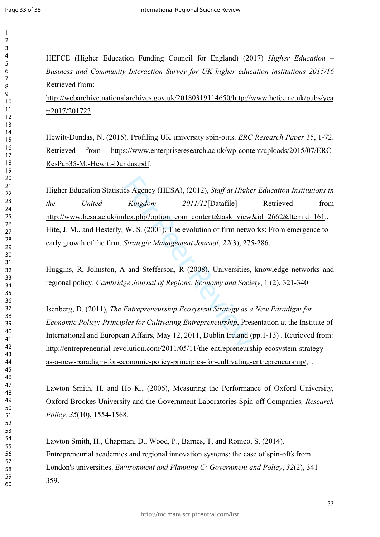$\mathbf{1}$ 

HEFCE (Higher Education Funding Council for England) (2017) *Higher Education – Business and Community Interaction Survey for UK higher education institutions 2015/16* Retrieved from:

[http://webarchive.nationalarchives.gov.uk/20180319114650/http://www.hefce.ac.uk/pubs/yea](http://webarchive.nationalarchives.gov.uk/20180319114650/http://www.hefce.ac.uk/pubs/year/2017/201723) [r/2017/201723.](http://webarchive.nationalarchives.gov.uk/20180319114650/http://www.hefce.ac.uk/pubs/year/2017/201723)

Hewitt-Dundas, N. (2015). Profiling UK university spin-outs. *ERC Research Paper* 35, 1-72. Retrieved from [https://www.enterpriseresearch.ac.uk/wp-content/uploads/2015/07/ERC-](https://www.enterpriseresearch.ac.uk/wp-content/uploads/2015/07/ERC-ResPap35-M.-Hewitt-Dundas.pdf)[ResPap35-M.-Hewitt-Dundas.pdf.](https://www.enterpriseresearch.ac.uk/wp-content/uploads/2015/07/ERC-ResPap35-M.-Hewitt-Dundas.pdf)

cs Agency (HESA), (2012), *Staff at Highe*<br> *Kingdom* 2011/12[Datafile]<br>
dex.php?option=com\_content&task=view.<br>
W. S. (2001). The evolution of firm netwo<br> *Strategic Management Journal*, 22(3), 275<br>
and Stefferson, R (2008 Higher Education Statistics Agency (HESA), (2012), *Staff at Higher Education Institutions in the United Kingdom 2011/12*[Datafile] Retrieved from [http://www.hesa.ac.uk/index.php?option=com\\_content&task=view&id=2662&Itemid=161.](http://www.hesa.ac.uk/index.php?option=com_content&task=view&id=2662&Itemid=161), Hite, J. M., and Hesterly, W. S. (2001). The evolution of firm networks: From emergence to early growth of the firm. *Strategic Management Journal*, *22*(3), 275-286.

Huggins, R, Johnston, A and Stefferson, R (2008). Universities, knowledge networks and regional policy. *Cambridge Journal of Regions, Economy and Society*, 1 (2), 321-340

Isenberg, D. (2011), *The Entrepreneurship Ecosystem Strategy as a New Paradigm for Economic Policy: Principles for Cultivating Entrepreneurship*, Presentation at the Institute of International and European Affairs, May 12, 2011, Dublin Ireland (pp.1-13) . Retrieved from: [http://entrepreneurial-revolution.com/2011/05/11/the-entrepreneurship-ecosystem-strategy](http://entrepreneurial-revolution.com/2011/05/11/the-entrepreneurship-ecosystem-strategy-as-a-new-paradigm-for-economic-policy-principles-for-cultivating-entrepreneurship/)[as-a-new-paradigm-for-economic-policy-principles-for-cultivating-entrepreneurship/,](http://entrepreneurial-revolution.com/2011/05/11/the-entrepreneurship-ecosystem-strategy-as-a-new-paradigm-for-economic-policy-principles-for-cultivating-entrepreneurship/) .

Lawton Smith, H. and Ho K., (2006), Measuring the Performance of Oxford University, Oxford Brookes University and the Government Laboratories Spin-off Companies*, Research Policy, 35*(10), 1554-1568.

Lawton Smith, H., Chapman, D., Wood, P., Barnes, T. and Romeo, S. (2014). Entrepreneurial academics and regional innovation systems: the case of spin-offs from London's universities. *Environment and Planning C: Government and Policy*, *32*(2), 341- 359.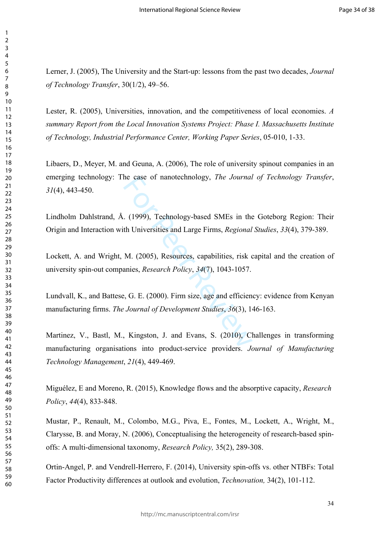Lerner, J. (2005), The University and the Start-up: lessons from the past two decades, *Journal of Technology Transfer*, 30(1/2), 49–56.

Lester, R. (2005), Universities, innovation, and the competitiveness of local economies. *A summary Report from the Local Innovation Systems Project: Phase I. Massachusetts Institute of Technology, Industrial Performance Center, Working Paper Series*, 05-010, 1-33.

Libaers, D., Meyer, M. and Geuna, A. (2006), The role of university spinout companies in an emerging technology: The case of nanotechnology, *The Journal of Technology Transfer*, (4), 443-450.

Lindholm Dahlstrand, Å. (1999), Technology-based SMEs in the Goteborg Region: Their Origin and Interaction with Universities and Large Firms, *Regional Studies*, *33*(4), 379-389.

In the case of nanotechnology, *The Journal*<br>
1. (1999), Technology-based SMEs in the<br>
1. (1999), Technology-based SMEs in the<br>
1. (2005), Resources, capabilities, risk q<br>
1. (2005), Resources, capabilities, risk q<br>
1. (20 Lockett, A. and Wright, M. (2005), Resources, capabilities, risk capital and the creation of university spin-out companies, *Research Policy*, *34*(7), 1043-1057.

Lundvall, K., and Battese, G. E. (2000). Firm size, age and efficiency: evidence from Kenyan manufacturing firms. *The Journal of Development Studies*, *36*(3), 146-163.

Martinez, V., Bastl, M., Kingston, J. and Evans, S. (2010), Challenges in transforming manufacturing organisations into product-service providers. *Journal of Manufacturing Technology Management*, *21*(4), 449-469.

Miguélez, E and Moreno, R. (2015), Knowledge flows and the absorptive capacity, *Research Policy*, *44*(4), 833-848.

Mustar, P., Renault, M., Colombo, M.G., Piva, E., Fontes, M., Lockett, A., Wright, M., Clarysse, B. and Moray, N. (2006), Conceptualising the heterogeneity of research-based spinoffs: A multi-dimensional taxonomy, *Research Policy,* 35(2), 289-308.

Ortin-Angel, P. and Vendrell-Herrero, F. (2014), University spin-offs vs. other NTBFs: Total Factor Productivity differences at outlook and evolution, *Technovation,* 34(2), 101-112.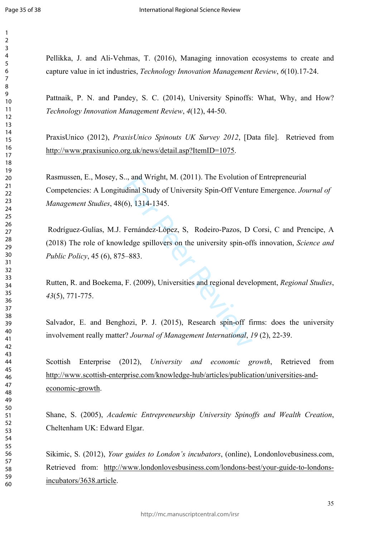$\mathbf{1}$  $\overline{2}$  $\overline{3}$  $\overline{4}$  $\overline{7}$ 

Pellikka, J. and Ali-Vehmas, T. (2016), Managing innovation ecosystems to create and capture value in ict industries, *Technology Innovation Management Review*, *6*(10).17-24.

Pattnaik, P. N. and Pandey, S. C. (2014), University Spinoffs: What, Why, and How? *Technology Innovation Management Review*, *4*(12), 44-50.

PraxisUnico (2012), *PraxisUnico Spinouts UK Survey 2012*, [Data file]. Retrieved from <http://www.praxisunico.org.uk/news/detail.asp?ItemID=1075>.

Rasmussen, E., Mosey, S.., and Wright, M. (2011). The Evolution of Entrepreneurial Competencies: A Longitudinal Study of University Spin-Off Venture Emergence. *Journal of Management Studies*, 48(6), 1314-1345.

man Wright, M. (2011). The Evolution condinal Study of University Spin-Off Ventu<br>(6), 1314-1345.<br>Fernández-López, S. Rodeiro-Pazos, D<br>ledge spillovers on the university spin-ofi<br>5-883.<br>F. (2009), Universities and regional  [Rodríguez-Gulías](javascript:;), M.J. Fernández-López, S, Rodeiro-Pazos, D [Corsi,](javascript:;) C an[d Prencipe,](javascript:;) A (2018) The role of knowledge spillovers on the university spin-offs innovation, *Science and Public Policy*, 45 (6), 875–883.

Rutten, R. and Boekema, F. (2009), Universities and regional development, *Regional Studies*, (5), 771-775.

Salvador, E. and Benghozi, P. J. (2015), Research spin-off firms: does the university involvement really matter? *Journal of Management International*, *19* (2), 22-39.

Scottish Enterprise (2012), *University and economic growth*, Retrieved from [http://www.scottish-enterprise.com/knowledge-hub/articles/publication/universities-and](http://www.scottish-enterprise.com/knowledge-hub/articles/publication/universities-and-economic-growth)[economic-growth.](http://www.scottish-enterprise.com/knowledge-hub/articles/publication/universities-and-economic-growth)

Shane, S. (2005), *Academic Entrepreneurship University Spinoffs and Wealth Creation*, Cheltenham UK: Edward Elgar.

Sikimic, S. (2012), *Your guides to London's incubators*, (online), Londonlovebusiness.com, Retrieved from: [http://www.londonlovesbusiness.com/londons-best/your-guide-to-londons](http://www.londonlovesbusiness.com/londons-best/your-guide-to-londons-incubators/3638.article)[incubators/3638.article](http://www.londonlovesbusiness.com/londons-best/your-guide-to-londons-incubators/3638.article).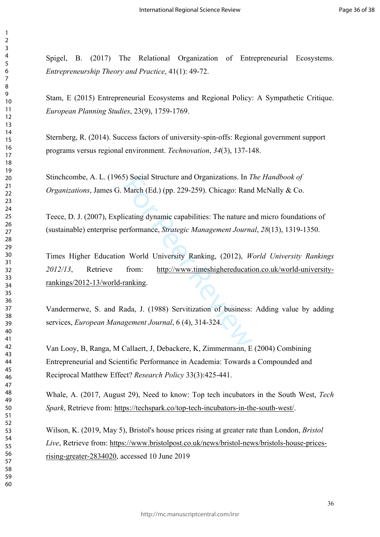Spigel, B. (2017) The Relational Organization of Entrepreneurial Ecosystems. *Entrepreneurship Theory and Practice*, 41(1): 49-72.

Stam, E (2015) Entrepreneurial Ecosystems and Regional Policy: A Sympathetic Critique. *European Planning Studies*, 23(9), 1759-1769.

Sternberg, R. (2014). Success factors of university-spin-offs: Regional government support programs versus regional environment. *Technovation*, *34*(3), 137-148.

Stinchcombe, A. L. (1965) Social Structure and Organizations. In *The Handbook of Organizations*, James G. March (Ed.) (pp. 229-259). Chicago: Rand McNally & Co.

Teece, D. J. (2007), Explicating dynamic capabilities: The nature and micro foundations of (sustainable) enterprise performance, *Strategic Management Journal*, *28*(13), 1319-1350.

Solved Structure and Organizations. In T<br>
March (Ed.) (pp. 229-259). Chicago: Ranc<br>
icating dynamic capabilities: The nature are<br>
erformance, *Strategic Management Journa*<br>
1 World University Ranking, (2012), *W*<br>
from: ht Times Higher Education World University Ranking, (2012), *World University Rankings 2012/13*, Retrieve from: [http://www.timeshighereducation.co.uk/world-university](http://www.timeshighereducation.co.uk/world-university-rankings/2012-13/world-ranking)[rankings/2012-13/world-ranking.](http://www.timeshighereducation.co.uk/world-university-rankings/2012-13/world-ranking)

Vandermerwe, S. and Rada, J. (1988) Servitization of business: Adding value by adding services, *European Management Journal*, 6 (4), 314-324.

Van Looy, B, Ranga, M Callaert, J, Debackere, K, Zimmermann, E (2004) Combining Entrepreneurial and Scientific Performance in Academia: Towards a Compounded and Reciprocal Matthew Effect? *Research Policy* 33(3):425-441.

Whale, A. (2017, August 29), Need to know: Top tech incubators in the South West, *Tech Spark*, Retrieve from: [https://techspark.co/top-tech-incubators-in-the-south-west/.](https://techspark.co/top-tech-incubators-in-the-south-west/)

Wilson, K. (2019, May 5), Bristol's house prices rising at greater rate than London, *Bristol Live*, Retrieve from: [https://www.bristolpost.co.uk/news/bristol-news/bristols-house-prices](https://www.bristolpost.co.uk/news/bristol-news/bristols-house-prices-rising-greater-2834020)[rising-greater-2834020,](https://www.bristolpost.co.uk/news/bristol-news/bristols-house-prices-rising-greater-2834020) accessed 10 June 2019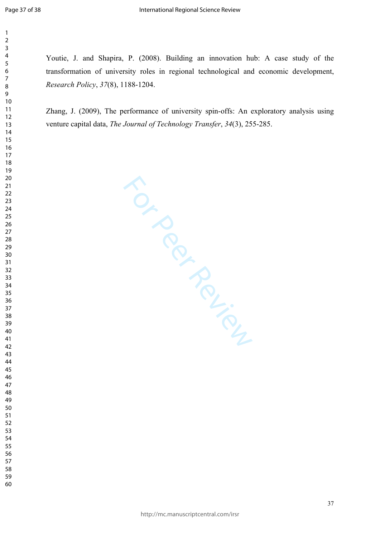Youtie, J. and Shapira, P. (2008). Building an innovation hub: A case study of the transformation of university roles in regional technological and economic development, *Research Policy*, *37*(8), 1188-1204.

Zhang, J. (2009), The performance of university spin-offs: An exploratory analysis using venture capital data, *The Journal of Technology Transfer*, *34*(3), 255-285.

For Perince